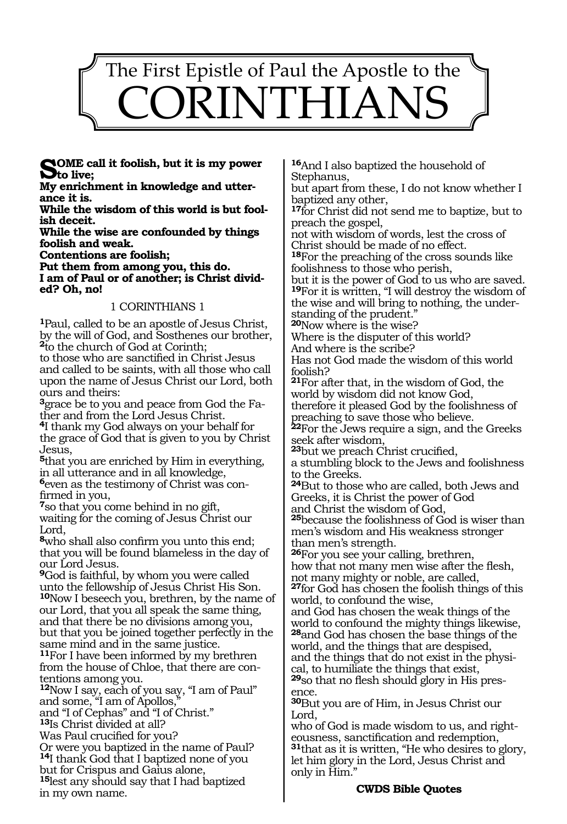

**Some call it foolish, but it is my power to live;**

**My enrichment in knowledge and utterance it is.**

**While the wisdom of this world is but foolish deceit.**

**While the wise are confounded by things foolish and weak.**

**Contentions are foolish;** 

**Put them from among you, this do. I am of Paul or of another; is Christ divided? Oh, no!**

#### 1 CORINTHIANS 1

**<sup>1</sup>**Paul, called to be an apostle of Jesus Christ, by the will of God, and Sosthenes our brother, **<sup>2</sup>**to the church of God at Corinth;

to those who are sanctified in Christ Jesus and called to be saints, with all those who call upon the name of Jesus Christ our Lord, both ours and theirs:

**3**grace be to you and peace from God the Father and from the Lord Jesus Christ.

**<sup>4</sup>**I thank my God always on your behalf for the grace of God that is given to you by Christ Jesus,

**<sup>5</sup>**that you are enriched by Him in everything, in all utterance and in all knowledge, **<sup>6</sup>**even as the testimony of Christ was con- firmed in you,

**<sup>7</sup>**so that you come behind in no gift, waiting for the coming of Jesus Christ our Lord,

**<sup>8</sup>**who shall also confirm you unto this end; that you will be found blameless in the day of our Lord Jesus.

**<sup>9</sup>**God is faithful, by whom you were called unto the fellowship of Jesus Christ His Son. **<sup>10</sup>**Now I beseech you, brethren, by the name of our Lord, that you all speak the same thing, and that there be no divisions among you, but that you be joined together perfectly in the same mind and in the same justice.

**<sup>11</sup>**For I have been informed by my brethren from the house of Chloe, that there are con- tentions among you.

**<sup>12</sup>**Now I say, each of you say, "I am of Paul" and some, "I am of Apollos,"

and "I of Cephas" and "I of Christ."

**<sup>13</sup>**Is Christ divided at all?

Was Paul crucified for you?

Or were you baptized in the name of Paul? **<sup>14</sup>**I thank God that I baptized none of you but for Crispus and Gaius alone,

**<sup>15</sup>**lest any should say that I had baptized in my own name.

**<sup>16</sup>**And I also baptized the household of Stephanus,

but apart from these, I do not know whether I baptized any other,

**<sup>17</sup>**for Christ did not send me to baptize, but to preach the gospel,

not with wisdom of words, lest the cross of Christ should be made of no effect.

**<sup>18</sup>**For the preaching of the cross sounds like foolishness to those who perish,

but it is the power of God to us who are saved. **<sup>19</sup>**For it is written, "I will destroy the wisdom of the wise and will bring to nothing, the understanding of the prudent."

**<sup>20</sup>**Now where is the wise?

Where is the disputer of this world? And where is the scribe?

Has not God made the wisdom of this world foolish?

**<sup>21</sup>**For after that, in the wisdom of God, the world by wisdom did not know God, therefore it pleased God by the foolishness of

preaching to save those who believe.

**<sup>22</sup>**For the Jews require a sign, and the Greeks seek after wisdom,

**<sup>23</sup>**but we preach Christ crucified,

a stumbling block to the Jews and foolishness to the Greeks.

**<sup>24</sup>**But to those who are called, both Jews and Greeks, it is Christ the power of God and Christ the wisdom of God,

**<sup>25</sup>**because the foolishness of God is wiser than men's wisdom and His weakness stronger than men's strength.

**<sup>26</sup>**For you see your calling, brethren, how that not many men wise after the flesh, not many mighty or noble, are called,

**<sup>27</sup>**for God has chosen the foolish things of this world, to confound the wise,

and God has chosen the weak things of the world to confound the mighty things likewise, **<sup>28</sup>**and God has chosen the base things of the

world, and the things that are despised, and the things that do not exist in the physi- cal, to humiliate the things that exist,

**29**so that no flesh should glory in His presence.

**<sup>30</sup>**But you are of Him, in Jesus Christ our Lord,

who of God is made wisdom to us, and righteousness, sanctification and redemption, **<sup>31</sup>**that as it is written, "He who desires to glory, let him glory in the Lord, Jesus Christ and only in Him."

#### **CWDS Bible Quotes**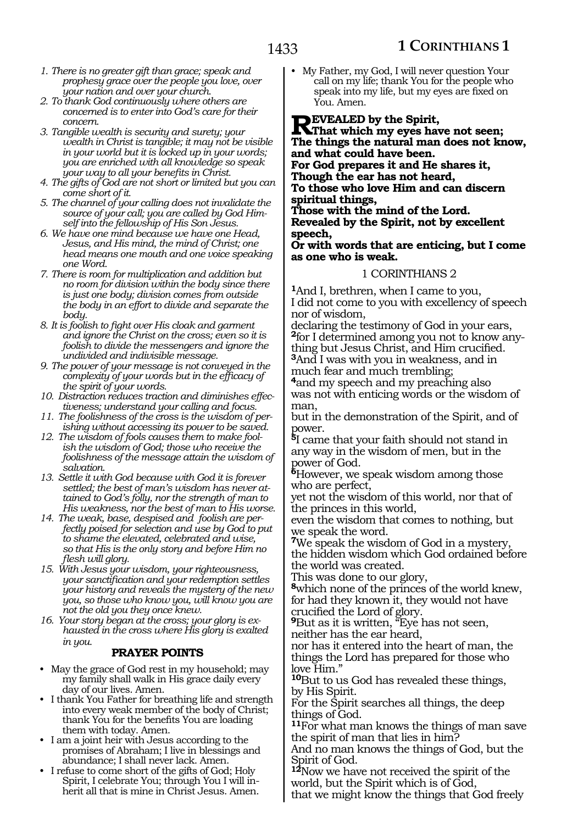- *1. There is no greater gift than grace; speak and prophesy grace over the people you love, over your nation and over your church.*
- *2. To thank God continuously where others are concerned is to enter into God's care for their concern.*
- *3. Tangible wealth is security and surety; your wealth in Christ is tangible; it may not be visible in your world but it is locked up in your words; you are enriched with all knowledge so speak your way to all your benefits in Christ.*
- *4. The gifts of God are not short or limited but you can come short of it.*
- *5. The channel of your calling does not invalidate the source of your call; you are called by God Himself into the fellowship of His Son Jesus.*
- *6. We have one mind because we have one Head, Jesus, and His mind, the mind of Christ; one head means one mouth and one voice speaking one Word.*
- *7. There is room for multiplication and addition but no room for division within the body since there is just one body; division comes from outside the body in an effort to divide and separate the body.*
- *8. It is foolish to fight over His cloak and garment and ignore the Christ on the cross; even so it is foolish to divide the messengers and ignore the undivided and indivisible message.*
- *9. The power of your message is not conveyed in the complexity of your words but in the efficacy of the spirit of your words.*
- *10. Distraction reduces traction and diminishes effectiveness; understand your calling and focus.*
- *11. The foolishness of the cross is the wisdom of perishing without accessing its power to be saved.*
- *12. The wisdom of fools causes them to make foolish the wisdom of God; those who receive the foolishness of the message attain the wisdom of salvation.*
- *13. Settle it with God because with God it is forever settled; the best of man's wisdom has never attained to God's folly, nor the strength of man to His weakness, nor the best of man to His worse.*
- *14. The weak, base, despised and foolish are perfectly poised for selection and use by God to put to shame the elevated, celebrated and wise, so that His is the only story and before Him no flesh will glory.*
- *15. With Jesus your wisdom, your righteousness, your sanctification and your redemption settles your history and reveals the mystery of the new you, so those who know you, will know you are not the old you they once knew.*
- *16. Your story began at the cross; your glory is exhausted in the cross where His glory is exalted in you.*

#### **PRAYER POINTS**

- May the grace of God rest in my household; may my family shall walk in His grace daily every day of our lives. Amen.
- I thank You Father for breathing life and strength into every weak member of the body of Christ; thank You for the benefits You are loading them with today. Amen.
- I am a joint heir with Jesus according to the promises of Abraham; I live in blessings and abundance; I shall never lack. Amen.
- I refuse to come short of the gifts of God; Holy Spirit, I celebrate You; through You I will inherit all that is mine in Christ Jesus. Amen.

• My Father, my God, I will never question Your call on my life; thank You for the people who speak into my life, but my eyes are fixed on You. Amen.

**REVEALED** by the Spirit,<br>
That which my eyes have not seen;<br>
The things the notwell man does not ly **The things the natural man does not know, and what could have been.**

**For God prepares it and He shares it,**

**Though the ear has not heard,**

**To those who love Him and can discern spiritual things,**

**Those with the mind of the Lord. Revealed by the Spirit, not by excellent speech,**

#### **Or with words that are enticing, but I come as one who is weak.**

#### 1 CORINTHIANS 2

**<sup>1</sup>**And I, brethren, when I came to you, I did not come to you with excellency of speech nor of wisdom,

declaring the testimony of God in your ears, **2**for I determined among you not to know anything but Jesus Christ, and Him crucified. **<sup>3</sup>**And I was with you in weakness, and in

much fear and much trembling;

**<sup>4</sup>**and my speech and my preaching also was not with enticing words or the wisdom of man,

but in the demonstration of the Spirit, and of power.

**<sup>5</sup>**I came that your faith should not stand in any way in the wisdom of men, but in the power of God.

**<sup>6</sup>**However, we speak wisdom among those who are perfect,

yet not the wisdom of this world, nor that of the princes in this world,

even the wisdom that comes to nothing, but we speak the word.

**<sup>7</sup>**We speak the wisdom of God in a mystery, the hidden wisdom which God ordained before the world was created.

This was done to our glory,

**<sup>8</sup>**which none of the princes of the world knew, for had they known it, they would not have crucified the Lord of glory.

**<sup>9</sup>**But as it is written, "Eye has not seen, neither has the ear heard,

nor has it entered into the heart of man, the things the Lord has prepared for those who love Him."

**<sup>10</sup>**But to us God has revealed these things, by His Spirit.

For the Spirit searches all things, the deep things of God.

**<sup>11</sup>**For what man knows the things of man save the spirit of man that lies in him?

And no man knows the things of God, but the Spirit of God.

**<sup>12</sup>**Now we have not received the spirit of the world, but the Spirit which is of God,

that we might know the things that God freely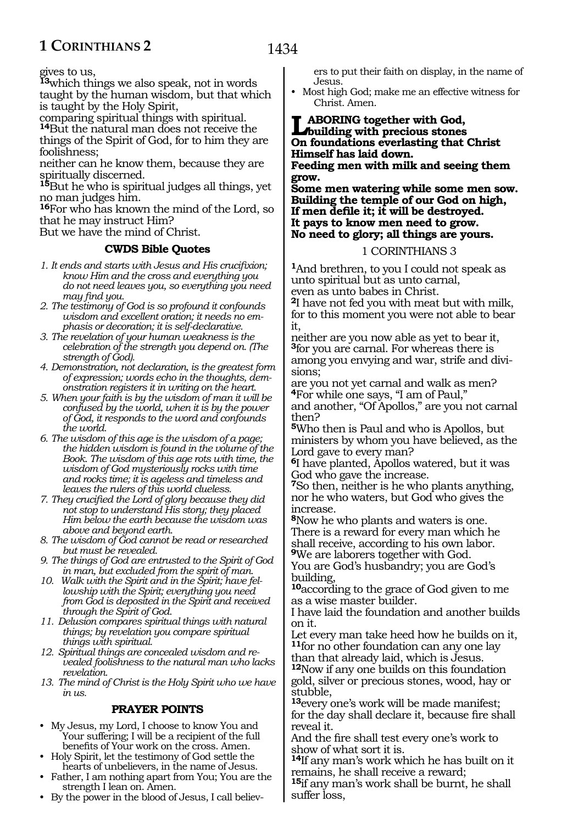gives to us,

**<sup>13</sup>**which things we also speak, not in words taught by the human wisdom, but that which is taught by the Holy Spirit,

comparing spiritual things with spiritual. **<sup>14</sup>**But the natural man does not receive the things of the Spirit of God, for to him they are foolishness;

neither can he know them, because they are spiritually discerned.

**<sup>15</sup>**But he who is spiritual judges all things, yet no man judges him.

**<sup>16</sup>**For who has known the mind of the Lord, so that he may instruct Him?

But we have the mind of Christ.

#### **CWDS Bible Quotes**

- *1. It ends and starts with Jesus and His crucifixion; know Him and the cross and everything you do not need leaves you, so everything you need may find you.*
- *2. The testimony of God is so profound it confounds wisdom and excellent oration; it needs no emphasis or decoration; it is self-declarative.*
- *3. The revelation of your human weakness is the celebration of the strength you depend on. (The strength of God).*
- *4. Demonstration, not declaration, is the greatest form of expression; words echo in the thoughts, demonstration registers it in writing on the heart.*
- *5. When your faith is by the wisdom of man it will be confused by the world, when it is by the power of God, it responds to the word and confounds the world.*
- *6. The wisdom of this age is the wisdom of a page; the hidden wisdom is found in the volume of the Book. The wisdom of this age rots with time, the wisdom of God mysteriously rocks with time and rocks time; it is ageless and timeless and leaves the rulers of this world clueless.*
- *7. They crucified the Lord of glory because they did not stop to understand His story; they placed Him below the earth because the wisdom was above and beyond earth.*
- *8. The wisdom of God cannot be read or researched but must be revealed.*
- *9. The things of God are entrusted to the Spirit of God in man, but excluded from the spirit of man.*
- *10. Walk with the Spirit and in the Spirit; have fellowship with the Spirit; everything you need from God is deposited in the Spirit and received through the Spirit of God.*
- *11. Delusion compares spiritual things with natural things; by revelation you compare spiritual things with spiritual.*
- *12. Spiritual things are concealed wisdom and revealed foolishness to the natural man who lacks revelation.*
- *13. The mind of Christ is the Holy Spirit who we have in us.*

#### **PRAYER POINTS**

- My Jesus, my Lord, I choose to know You and Your suffering; I will be a recipient of the full benefits of Your work on the cross. Amen.
- Holy Spirit, let the testimony of God settle the hearts of unbelievers, in the name of Jesus.
- Father, I am nothing apart from You; You are the strength I lean on. Amen.
- By the power in the blood of Jesus, I call believ-

ers to put their faith on display, in the name of Jesus.

• Most high God; make me an effective witness for Christ. Amen.

**Laboring together with God, building with precious stones On foundations everlasting that Christ Himself has laid down. Feeding men with milk and seeing them** 

**grow. Some men watering while some men sow. Building the temple of our God on high, If men defile it; it will be destroyed. It pays to know men need to grow. No need to glory; all things are yours.**

#### 1 CORINTHIANS 3

**<sup>1</sup>**And brethren, to you I could not speak as unto spiritual but as unto carnal, even as unto babes in Christ.

**<sup>2</sup>**I have not fed you with meat but with milk, for to this moment you were not able to bear it,

neither are you now able as yet to bear it, **<sup>3</sup>**for you are carnal. For whereas there is among you envying and war, strife and divisions;

are you not yet carnal and walk as men? **<sup>4</sup>**For while one says, "I am of Paul,"

and another, "Of Apollos," are you not carnal then?

**<sup>5</sup>**Who then is Paul and who is Apollos, but ministers by whom you have believed, as the Lord gave to every man?

**<sup>6</sup>**I have planted, Apollos watered, but it was God who gave the increase.

**<sup>7</sup>**So then, neither is he who plants anything, nor he who waters, but God who gives the increase.

**<sup>8</sup>**Now he who plants and waters is one. There is a reward for every man which he shall receive, according to his own labor. **<sup>9</sup>**We are laborers together with God.

You are God's husbandry; you are God's building,

**<sup>10</sup>**according to the grace of God given to me as a wise master builder.

I have laid the foundation and another builds on it.

Let every man take heed how he builds on it, **<sup>11</sup>**for no other foundation can any one lay than that already laid, which is Jesus.

**<sup>12</sup>**Now if any one builds on this foundation gold, silver or precious stones, wood, hay or stubble,

**<sup>13</sup>**every one's work will be made manifest; for the day shall declare it, because fire shall reveal it.

And the fire shall test every one's work to show of what sort it is.

**<sup>14</sup>**If any man's work which he has built on it remains, he shall receive a reward;

**<sup>15</sup>**if any man's work shall be burnt, he shall suffer loss,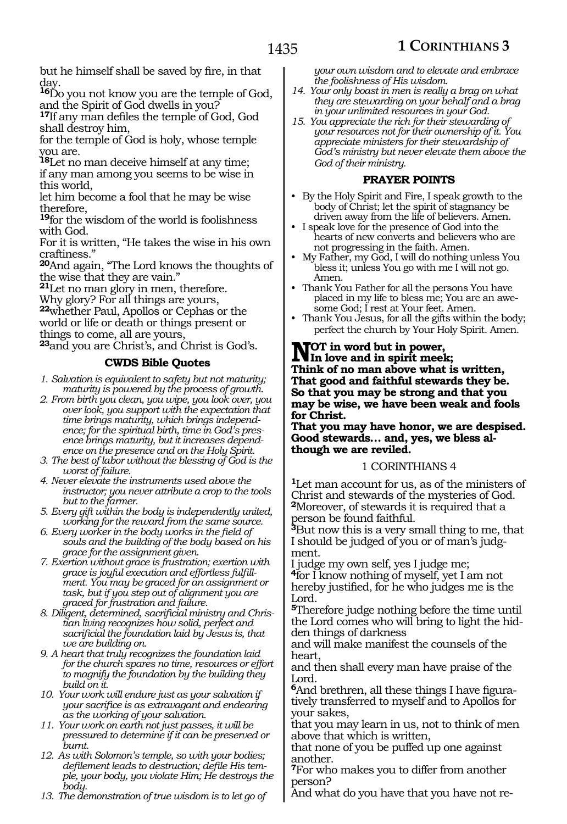but he himself shall be saved by fire, in that day.

**<sup>16</sup>**Do you not know you are the temple of God, and the Spirit of God dwells in you?

**<sup>17</sup>**If any man defiles the temple of God, God shall destroy him,

for the temple of God is holy, whose temple you are.

**<sup>18</sup>**Let no man deceive himself at any time; if any man among you seems to be wise in this world,

let him become a fool that he may be wise therefore,

**<sup>19</sup>**for the wisdom of the world is foolishness with God.

For it is written, "He takes the wise in his own craftiness."

**<sup>20</sup>**And again, "The Lord knows the thoughts of the wise that they are vain."

**<sup>21</sup>**Let no man glory in men, therefore.

Why glory? For all things are yours, **<sup>22</sup>**whether Paul, Apollos or Cephas or the

world or life or death or things present or things to come, all are yours,

**<sup>23</sup>**and you are Christ's, and Christ is God's.

## **CWDS Bible Quotes**

- *1. Salvation is equivalent to safety but not maturity; maturity is powered by the process of growth.*
- *2. From birth you clean, you wipe, you look over, you over look, you support with the expectation that time brings maturity, which brings independence; for the spiritual birth, time in God's presence brings maturity, but it increases dependence on the presence and on the Holy Spirit.*
- *3. The best of labor without the blessing of God is the worst of failure.*
- *4. Never elevate the instruments used above the instructor; you never attribute a crop to the tools but to the farmer.*
- *5. Every gift within the body is independently united, working for the reward from the same source.*
- *6. Every worker in the body works in the field of souls and the building of the body based on his grace for the assignment given.*
- *7. Exertion without grace is frustration; exertion with grace is joyful execution and effortless fulfillment. You may be graced for an assignment or task, but if you step out of alignment you are graced for frustration and failure.*
- *8. Diligent, determined, sacrificial ministry and Christian living recognizes how solid, perfect and sacrificial the foundation laid by Jesus is, that we are building on.*
- *9. A heart that truly recognizes the foundation laid for the church spares no time, resources or effort to magnify the foundation by the building they build on it.*
- *10. Your work will endure just as your salvation if your sacrifice is as extravagant and endearing as the working of your salvation.*
- *11. Your work on earth not just passes, it will be pressured to determine if it can be preserved or burnt.*
- *12. As with Solomon's temple, so with your bodies; defilement leads to destruction; defile His temple, your body, you violate Him; He destroys the body.*
- *13. The demonstration of true wisdom is to let go of*

*your own wisdom and to elevate and embrace the foolishness of His wisdom.*

- *14. Your only boast in men is really a brag on what they are stewarding on your behalf and a brag in your unlimited resources in your God.*
- *15. You appreciate the rich for their stewarding of your resources not for their ownership of it. You appreciate ministers for their stewardship of God's ministry but never elevate them above the God of their ministry.*

#### **PRAYER POINTS**

- By the Holy Spirit and Fire, I speak growth to the body of Christ; let the spirit of stagnancy be driven away from the life of believers. Amen.
- I speak love for the presence of God into the hearts of new converts and believers who are not progressing in the faith. Amen.
- My Father, my God, I will do nothing unless You bless it; unless You go with me I will not go. Amen.
- Thank You Father for all the persons You have placed in my life to bless me; You are an awesome God; I rest at Your feet. Amen.
- Thank You Jesus, for all the gifts within the body; perfect the church by Your Holy Spirit. Amen.

#### **NOT** in word but in power,<br>NIn love and in spirit meel **In love and in spirit meek; Think of no man above what is written, That good and faithful stewards they be. So that you may be strong and that you may be wise, we have been weak and fools for Christ.**

**That you may have honor, we are despised. Good stewards… and, yes, we bless although we are reviled.**

#### 1 CORINTHIANS 4

**<sup>1</sup>**Let man account for us, as of the ministers of Christ and stewards of the mysteries of God. **<sup>2</sup>**Moreover, of stewards it is required that a person be found faithful.

**<sup>3</sup>**But now this is a very small thing to me, that I should be judged of you or of man's judgment.

I judge my own self, yes I judge me;

**<sup>4</sup>**for I know nothing of myself, yet I am not hereby justified, for he who judges me is the Lord.

**<sup>5</sup>**Therefore judge nothing before the time until the Lord comes who will bring to light the hidden things of darkness

and will make manifest the counsels of the heart,

and then shall every man have praise of the Lord.

**6**And brethren, all these things I have figuratively transferred to myself and to Apollos for your sakes,

that you may learn in us, not to think of men above that which is written,

that none of you be puffed up one against another.

**<sup>7</sup>**For who makes you to differ from another person?

And what do you have that you have not re-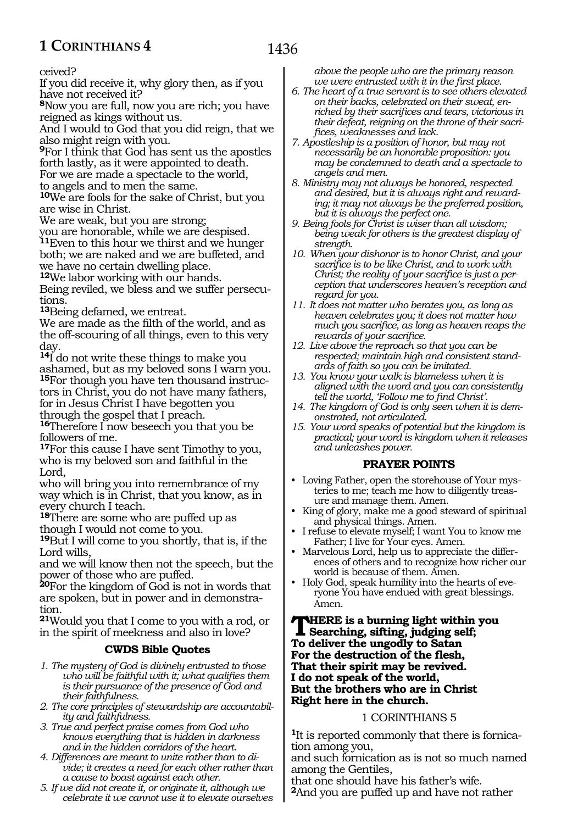ceived?

If you did receive it, why glory then, as if you have not received it?

**<sup>8</sup>**Now you are full, now you are rich; you have reigned as kings without us.

And I would to God that you did reign, that we also might reign with you.

**<sup>9</sup>**For I think that God has sent us the apostles forth lastly, as it were appointed to death. For we are made a spectacle to the world, to angels and to men the same.

**<sup>10</sup>**We are fools for the sake of Christ, but you are wise in Christ.

We are weak, but you are strong;

you are honorable, while we are despised. **<sup>11</sup>**Even to this hour we thirst and we hunger both; we are naked and we are buffeted, and we have no certain dwelling place.

**<sup>12</sup>**We labor working with our hands.

Being reviled, we bless and we suffer persecutions.

**<sup>13</sup>**Being defamed, we entreat.

We are made as the filth of the world, and as the off-scouring of all things, even to this very day.

**<sup>14</sup>**I do not write these things to make you ashamed, but as my beloved sons I warn you. **15**For though you have ten thousand instructors in Christ, you do not have many fathers, for in Jesus Christ I have begotten you through the gospel that I preach.

**<sup>16</sup>**Therefore I now beseech you that you be followers of me.

**<sup>17</sup>**For this cause I have sent Timothy to you, who is my beloved son and faithful in the Lord,

who will bring you into remembrance of my way which is in Christ, that you know, as in every church I teach.

**<sup>18</sup>**There are some who are puffed up as though I would not come to you.

**<sup>19</sup>**But I will come to you shortly, that is, if the Lord wills,

and we will know then not the speech, but the power of those who are puffed.

**<sup>20</sup>**For the kingdom of God is not in words that are spoken, but in power and in demonstra- tion.

**<sup>21</sup>**Would you that I come to you with a rod, or in the spirit of meekness and also in love?

#### **CWDS Bible Quotes**

- *1. The mystery of God is divinely entrusted to those who will be faithful with it; what qualifies them is their pursuance of the presence of God and their faithfulness.*
- *2. The core principles of stewardship are accountability and faithfulness.*
- *3. True and perfect praise comes from God who knows everything that is hidden in darkness and in the hidden corridors of the heart.*
- *4. Differences are meant to unite rather than to divide; it creates a need for each other rather than a cause to boast against each other.*
- *5. If we did not create it, or originate it, although we celebrate it we cannot use it to elevate ourselves*

*above the people who are the primary reason we were entrusted with it in the first place.*

- *6. The heart of a true servant is to see others elevated on their backs, celebrated on their sweat, enriched by their sacrifices and tears, victorious in their defeat, reigning on the throne of their sacrifices, weaknesses and lack.*
- *7. Apostleship is a position of honor, but may not necessarily be an honorable proposition: you may be condemned to death and a spectacle to angels and men.*
- *8. Ministry may not always be honored, respected and desired, but it is always right and rewarding; it may not always be the preferred position, but it is always the perfect one.*
- *9. Being fools for Christ is wiser than all wisdom; being weak for others is the greatest display of strength.*
- *10. When your dishonor is to honor Christ, and your sacrifice is to be like Christ, and to work with Christ; the reality of your sacrifice is just a perception that underscores heaven's reception and regard for you.*
- *11. It does not matter who berates you, as long as heaven celebrates you; it does not matter how much you sacrifice, as long as heaven reaps the rewards of your sacrifice.*
- *12. Live above the reproach so that you can be respected; maintain high and consistent standards of faith so you can be imitated.*
- *13. You know your walk is blameless when it is aligned with the word and you can consistently tell the world, 'Follow me to find Christ'.*
- *14. The kingdom of God is only seen when it is demonstrated, not articulated.*
- *15. Your word speaks of potential but the kingdom is practical; your word is kingdom when it releases and unleashes power.*

#### **PRAYER POINTS**

- Loving Father, open the storehouse of Your mysteries to me; teach me how to diligently treasure and manage them. Amen.
- King of glory, make me a good steward of spiritual and physical things. Amen.
- I refuse to elevate myself; I want You to know me Father; I live for Your eyes. Amen.
- Marvelous Lord, help us to appreciate the differences of others and to recognize how richer our world is because of them. Amen.
- Holy God, speak humility into the hearts of everyone You have endued with great blessings. Amen.

#### **THERE** is a burning light within you<br>Searching, sifting, judging self;<br>The deliveration was also to Seten **To deliver the ungodly to Satan For the destruction of the flesh, That their spirit may be revived. I do not speak of the world, But the brothers who are in Christ Right here in the church.**

#### 1 CORINTHIANS 5

**1**It is reported commonly that there is fornication among you,

and such fornication as is not so much named among the Gentiles,

that one should have his father's wife. **<sup>2</sup>**And you are puffed up and have not rather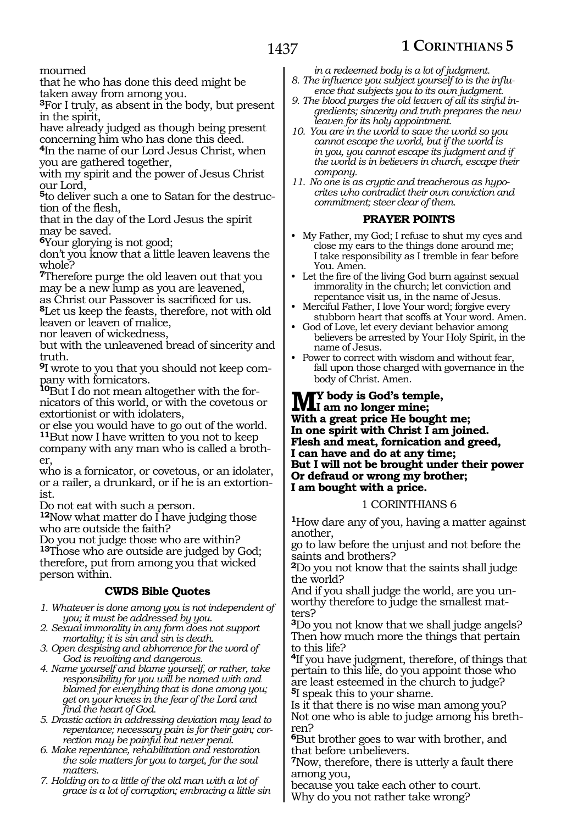mourned

that he who has done this deed might be taken away from among you.

**<sup>3</sup>**For I truly, as absent in the body, but present in the spirit,

have already judged as though being present concerning him who has done this deed.

**<sup>4</sup>**In the name of our Lord Jesus Christ, when you are gathered together,

with my spirit and the power of Jesus Christ our Lord,

**5**to deliver such a one to Satan for the destruction of the flesh,

that in the day of the Lord Jesus the spirit may be saved.

**<sup>6</sup>**Your glorying is not good;

don't you know that a little leaven leavens the whole?

**<sup>7</sup>**Therefore purge the old leaven out that you may be a new lump as you are leavened,

as Christ our Passover is sacrificed for us.

**<sup>8</sup>**Let us keep the feasts, therefore, not with old leaven or leaven of malice,

nor leaven of wickedness,

but with the unleavened bread of sincerity and truth.

**9**I wrote to you that you should not keep company with fornicators.

**10**But I do not mean altogether with the fornicators of this world, or with the covetous or extortionist or with idolaters,

or else you would have to go out of the world. **<sup>11</sup>**But now I have written to you not to keep

company with any man who is called a brother

who is a fornicator, or covetous, or an idolater, or a railer, a drunkard, or if he is an extortionist.

Do not eat with such a person.

**<sup>12</sup>**Now what matter do I have judging those who are outside the faith?

Do you not judge those who are within? **<sup>13</sup>**Those who are outside are judged by God; therefore, put from among you that wicked person within.

#### **CWDS Bible Quotes**

*1. Whatever is done among you is not independent of you; it must be addressed by you.*

*2. Sexual immorality in any form does not support mortality; it is sin and sin is death.*

- *3. Open despising and abhorrence for the word of God is revolting and dangerous.*
- *4. Name yourself and blame yourself, or rather, take responsibility for you will be named with and blamed for everything that is done among you; get on your knees in the fear of the Lord and find the heart of God.*

*5. Drastic action in addressing deviation may lead to repentance; necessary pain is for their gain; correction may be painful but never penal.* 

- *6. Make repentance, rehabilitation and restoration the sole matters for you to target, for the soul matters.*
- *7. Holding on to a little of the old man with a lot of grace is a lot of corruption; embracing a little sin*

*in a redeemed body is a lot of judgment. 8. The influence you subject yourself to is the influ-*

- *ence that subjects you to its own judgment. 9. The blood purges the old leaven of all its sinful ingredients; sincerity and truth prepares the new leaven for its holy appointment.*
- *10. You are in the world to save the world so you cannot escape the world, but if the world is in you, you cannot escape its judgment and if the world is in believers in church, escape their company.*
- *11. No one is as cryptic and treacherous as hypocrites who contradict their own conviction and commitment; steer clear of them.*

#### **PRAYER POINTS**

- My Father, my God; I refuse to shut my eyes and close my ears to the things done around me; I take responsibility as I tremble in fear before You. Amen.
- Let the fire of the living God burn against sexual immorality in the church; let conviction and repentance visit us, in the name of Jesus.
- Merciful Father, I love Your word; forgive every stubborn heart that scoffs at Your word. Amen.
- God of Love, let every deviant behavior among believers be arrested by Your Holy Spirit, in the name of Jesus.
- Power to correct with wisdom and without fear, fall upon those charged with governance in the body of Christ. Amen.

#### **My body is God's temple, I am no longer mine; With a great price He bought me; In one spirit with Christ I am joined. Flesh and meat, fornication and greed, I can have and do at any time; But I will not be brought under their power Or defraud or wrong my brother; I am bought with a price.**

#### 1 CORINTHIANS 6

**<sup>1</sup>**How dare any of you, having a matter against another,

go to law before the unjust and not before the saints and brothers?

**<sup>2</sup>**Do you not know that the saints shall judge the world?

And if you shall judge the world, are you un-<br>worthy therefore to judge the smallest mat-<br>ters?

**<sup>3</sup>**Do you not know that we shall judge angels? Then how much more the things that pertain to this life?

**<sup>4</sup>**If you have judgment, therefore, of things that pertain to this life, do you appoint those who are least esteemed in the church to judge? **<sup>5</sup>**I speak this to your shame.

Is it that there is no wise man among you? Not one who is able to judge among his brethren?

**<sup>6</sup>**But brother goes to war with brother, and that before unbelievers.

**<sup>7</sup>**Now, therefore, there is utterly a fault there among you,

because you take each other to court. Why do you not rather take wrong?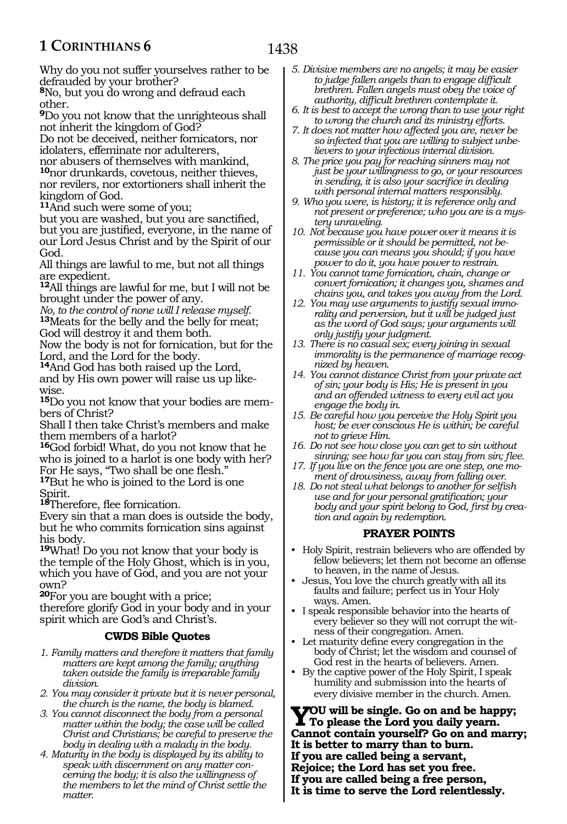1438

Why do you not suffer yourselves rather to be defrauded by your brother?

**<sup>8</sup>**No, but you do wrong and defraud each other.

**<sup>9</sup>**Do you not know that the unrighteous shall not inherit the kingdom of God?

Do not be deceived, neither fornicators, nor idolaters, effeminate nor adulterers, nor abusers of themselves with mankind, **<sup>10</sup>**nor drunkards, covetous, neither thieves, nor revilers, nor extortioners shall inherit the

kingdom of God.

**<sup>11</sup>**And such were some of you;

but you are washed, but you are sanctified, but you are justified, everyone, in the name of our Lord Jesus Christ and by the Spirit of our God.

All things are lawful to me, but not all things are expedient.

**<sup>12</sup>**All things are lawful for me, but I will not be brought under the power of any.

*No, to the control of none will I release myself.* **<sup>13</sup>**Meats for the belly and the belly for meat; God will destroy it and them both.

Now the body is not for fornication, but for the Lord, and the Lord for the body.

**<sup>14</sup>**And God has both raised up the Lord, and by His own power will raise us up likewise.

**15**Do you not know that your bodies are members of Christ?

Shall I then take Christ's members and make them members of a harlot?

**<sup>16</sup>**God forbid! What, do you not know that he who is joined to a harlot is one body with her? For He says, "Two shall be one flesh." **<sup>17</sup>**But he who is joined to the Lord is one

Spirit.

**<sup>18</sup>**Therefore, flee fornication.

Every sin that a man does is outside the body, but he who commits fornication sins against his body.

**<sup>19</sup>**What! Do you not know that your body is the temple of the Holy Ghost, which is in you, which you have of God, and you are not your own?

**<sup>20</sup>**For you are bought with a price; therefore glorify God in your body and in your spirit which are God's and Christ's.

#### **CWDS Bible Quotes**

- *1. Family matters and therefore it matters that family matters are kept among the family; anything taken outside the family is irreparable family division.*
- *2. You may consider it private but it is never personal, the church is the name, the body is blamed.*
- *3. You cannot disconnect the body from a personal matter within the body; the case will be called Christ and Christians; be careful to preserve the body in dealing with a malady in the body.*
- *4. Maturity in the body is displayed by its ability to speak with discernment on any matter concerning the body; it is also the willingness of the members to let the mind of Christ settle the matter.*
- *5. Divisive members are no angels; it may be easier to judge fallen angels than to engage difficult brethren. Fallen angels must obey the voice of authority, difficult brethren contemplate it.*
- *6. It is best to accept the wrong than to use your right to wrong the church and its ministry efforts.*
- *7. It does not matter how affected you are, never be so infected that you are willing to subject unbelievers to your infectious internal division.*
- *8. The price you pay for reaching sinners may not just be your willingness to go, or your resources in sending, it is also your sacrifice in dealing with personal internal matters responsibly.*
- *9. Who you were, is history; it is reference only and not present or preference; who you are is a mystery unraveling.*

*10. Not because you have power over it means it is permissible or it should be permitted, not because you can means you should; if you have power to do it, you have power to restrain.*

- *11. You cannot tame fornication, chain, change or convert fornication; it changes you, shames and chains you, and takes you away from the Lord.*
- *12. You may use arguments to justify sexual immorality and perversion, but it will be judged just as the word of God says; your arguments will only justify your judgment.*
- *13. There is no casual sex; every joining in sexual immorality is the permanence of marriage recognized by heaven.*
- *14. You cannot distance Christ from your private act of sin; your body is His; He is present in you and an offended witness to every evil act you engage the body in.*
- *15. Be careful how you perceive the Holy Spirit you host; be ever conscious He is within; be careful not to grieve Him.*
- *16. Do not see how close you can get to sin without sinning; see how far you can stay from sin; flee.*
- *17. If you live on the fence you are one step, one moment of drowsiness, away from falling over.*
- *18. Do not steal what belongs to another for selfish use and for your personal gratification; your body and your spirit belong to God, first by creation and again by redemption.*

#### **PRAYER POINTS**

- Holy Spirit, restrain believers who are offended by fellow believers; let them not become an offense to heaven, in the name of Jesus.
- Jesus, You love the church greatly with all its faults and failure; perfect us in Your Holy ways. Amen.
- I speak responsible behavior into the hearts of every believer so they will not corrupt the witness of their congregation. Amen.
- Let maturity define every congregation in the body of Christ; let the wisdom and counsel of God rest in the hearts of believers. Amen.
- By the captive power of the Holy Spirit, I speak humility and submission into the hearts of every divisive member in the church. Amen.

**You will be single. Go on and be happy; To please the Lord you daily yearn. Cannot contain yourself? Go on and marry; It is better to marry than to burn. If you are called being a servant, Rejoice; the Lord has set you free. If you are called being a free person, It is time to serve the Lord relentlessly.**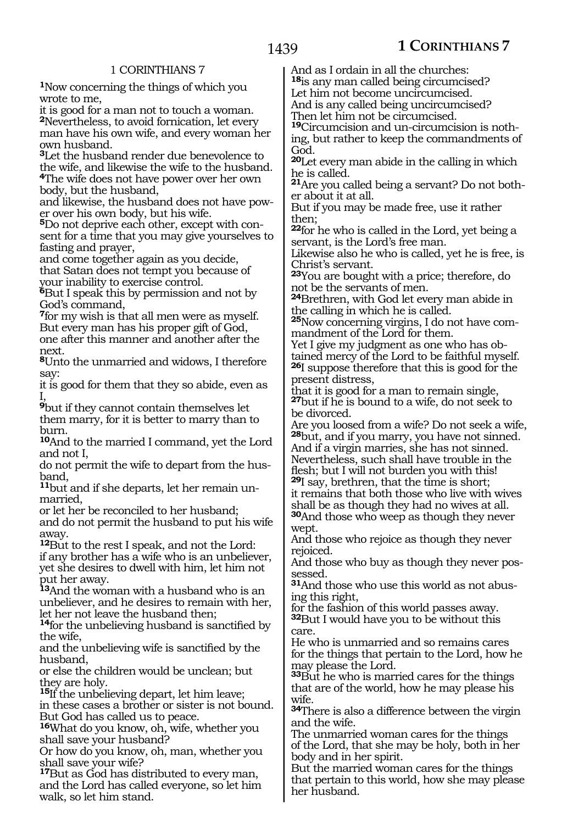**<sup>1</sup>**Now concerning the things of which you wrote to me,

it is good for a man not to touch a woman. **<sup>2</sup>**Nevertheless, to avoid fornication, let every man have his own wife, and every woman her own husband.

**<sup>3</sup>**Let the husband render due benevolence to the wife, and likewise the wife to the husband. **<sup>4</sup>**The wife does not have power over her own body, but the husband,

and likewise, the husband does not have pow- er over his own body, but his wife.

**<sup>5</sup>**Do not deprive each other, except with con- sent for a time that you may give yourselves to fasting and prayer,

and come together again as you decide, that Satan does not tempt you because of your inability to exercise control.

**<sup>6</sup>**But I speak this by permission and not by God's command,

**<sup>7</sup>**for my wish is that all men were as myself. But every man has his proper gift of God, one after this manner and another after the next.

**<sup>8</sup>**Unto the unmarried and widows, I therefore say:

it is good for them that they so abide, even as I,

**<sup>9</sup>**but if they cannot contain themselves let them marry, for it is better to marry than to burn.

**<sup>10</sup>**And to the married I command, yet the Lord and not I,

do not permit the wife to depart from the husband,

**11**but and if she departs, let her remain unmarried,

or let her be reconciled to her husband; and do not permit the husband to put his wife away.

**<sup>12</sup>**But to the rest I speak, and not the Lord: if any brother has a wife who is an unbeliever, yet she desires to dwell with him, let him not put her away.

**<sup>13</sup>**And the woman with a husband who is an unbeliever, and he desires to remain with her, let her not leave the husband then;

**<sup>14</sup>**for the unbelieving husband is sanctified by the wife,

and the unbelieving wife is sanctified by the husband,

or else the children would be unclean; but they are holy.

**<sup>15</sup>**If the unbelieving depart, let him leave; in these cases a brother or sister is not bound. But God has called us to peace.

**<sup>16</sup>**What do you know, oh, wife, whether you shall save your husband?

Or how do you know, oh, man, whether you shall save your wife?

**<sup>17</sup>**But as God has distributed to every man, and the Lord has called everyone, so let him walk, so let him stand.

And as I ordain in all the churches: **<sup>18</sup>**is any man called being circumcised? Let him not become uncircumcised. And is any called being uncircumcised? Then let him not be circumcised.

**19**Circumcision and un-circumcision is nothing, but rather to keep the commandments of God.

**<sup>20</sup>**Let every man abide in the calling in which he is called.

**<sup>21</sup>**Are you called being a servant? Do not both- er about it at all.

But if you may be made free, use it rather then;

**<sup>22</sup>**for he who is called in the Lord, yet being a servant, is the Lord's free man.

Likewise also he who is called, yet he is free, is Christ's servant.

**<sup>23</sup>**You are bought with a price; therefore, do not be the servants of men.

**<sup>24</sup>**Brethren, with God let every man abide in the calling in which he is called.

**25**Now concerning virgins, I do not have commandment of the Lord for them.

Yet I give my judgment as one who has obtained mercy of the Lord to be faithful myself. **<sup>26</sup>**I suppose therefore that this is good for the present distress,

that it is good for a man to remain single, **<sup>27</sup>**but if he is bound to a wife, do not seek to be divorced.

Are you loosed from a wife? Do not seek a wife, **<sup>28</sup>**but, and if you marry, you have not sinned. And if a virgin marries, she has not sinned. Nevertheless, such shall have trouble in the

flesh; but I will not burden you with this! **<sup>29</sup>**I say, brethren, that the time is short;

it remains that both those who live with wives shall be as though they had no wives at all. **<sup>30</sup>**And those who weep as though they never wept.

And those who rejoice as though they never rejoiced.

And those who buy as though they never possessed.

**31**And those who use this world as not abusing this right,

for the fashion of this world passes away. **<sup>32</sup>**But I would have you to be without this care.

He who is unmarried and so remains cares for the things that pertain to the Lord, how he may please the Lord.

**<sup>33</sup>**But he who is married cares for the things that are of the world, how he may please his wife.

**<sup>34</sup>**There is also a difference between the virgin and the wife.

The unmarried woman cares for the things of the Lord, that she may be holy, both in her body and in her spirit.

But the married woman cares for the things that pertain to this world, how she may please her husband.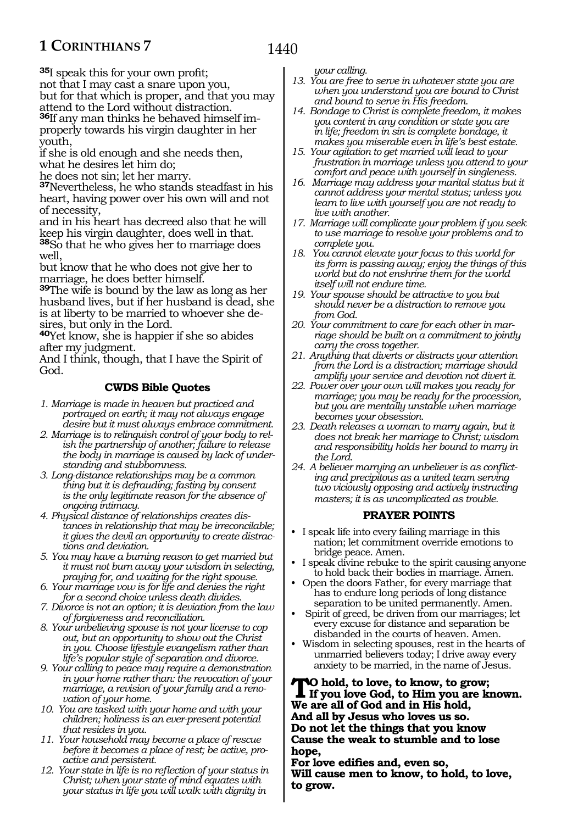**<sup>35</sup>**I speak this for your own profit; not that I may cast a snare upon you, but for that which is proper, and that you may attend to the Lord without distraction. **36**If any man thinks he behaved himself improperly towards his virgin daughter in her youth,

if she is old enough and she needs then, what he desires let him do;

he does not sin; let her marry.

**<sup>37</sup>**Nevertheless, he who stands steadfast in his heart, having power over his own will and not of necessity,

and in his heart has decreed also that he will keep his virgin daughter, does well in that. **<sup>38</sup>**So that he who gives her to marriage does

well, but know that he who does not give her to marriage, he does better himself.

**<sup>39</sup>**The wife is bound by the law as long as her husband lives, but if her husband is dead, she is at liberty to be married to whoever she desires, but only in the Lord.

**<sup>40</sup>**Yet know, she is happier if she so abides after my judgment.

And I think, though, that I have the Spirit of God.

## **CWDS Bible Quotes**

- *1. Marriage is made in heaven but practiced and portrayed on earth; it may not always engage desire but it must always embrace commitment.*
- *2. Marriage is to relinquish control of your body to relish the partnership of another; failure to release the body in marriage is caused by lack of understanding and stubbornness.*
- *3. Long-distance relationships may be a common thing but it is defrauding; fasting by consent is the only legitimate reason for the absence of ongoing intimacy.*
- *4. Physical distance of relationships creates distances in relationship that may be irreconcilable; it gives the devil an opportunity to create distractions and deviation.*
- *5. You may have a burning reason to get married but it must not burn away your wisdom in selecting, praying for, and waiting for the right spouse.*
- *6. Your marriage vow is for life and denies the right for a second choice unless death divides.*
- *7. Divorce is not an option; it is deviation from the law of forgiveness and reconciliation.*
- *8. Your unbelieving spouse is not your license to cop out, but an opportunity to show out the Christ in you. Choose lifestyle evangelism rather than life's popular style of separation and divorce.*
- *9. Your calling to peace may require a demonstration in your home rather than: the revocation of your marriage, a revision of your family and a renovation of your home.*
- *10. You are tasked with your home and with your children; holiness is an ever-present potential that resides in you.*
- *11. Your household may become a place of rescue before it becomes a place of rest; be active, proactive and persistent.*
- *12. Your state in life is no reflection of your status in Christ; when your state of mind equates with your status in life you will walk with dignity in*

*your calling.*

- *13. You are free to serve in whatever state you are when you understand you are bound to Christ and bound to serve in His freedom.*
- *14. Bondage to Christ is complete freedom, it makes you content in any condition or state you are in life; freedom in sin is complete bondage, it makes you miserable even in life's best estate.*
- *15. Your agitation to get married will lead to your frustration in marriage unless you attend to your comfort and peace with yourself in singleness.*
- *16. Marriage may address your marital status but it cannot address your mental status; unless you learn to live with yourself you are not ready to live with another.*
- *17. Marriage will complicate your problem if you seek to use marriage to resolve your problems and to complete you.*
- *18. You cannot elevate your focus to this world for its form is passing away; enjoy the things of this world but do not enshrine them for the world itself will not endure time.*
- *19. Your spouse should be attractive to you but should never be a distraction to remove you from God.*
- *20. Your commitment to care for each other in marriage should be built on a commitment to jointly carry the cross together.*
- *21. Anything that diverts or distracts your attention from the Lord is a distraction; marriage should amplify your service and devotion not divert it.*
- *22. Power over your own will makes you ready for marriage; you may be ready for the procession, but you are mentally unstable when marriage becomes your obsession.*
- *23. Death releases a woman to marry again, but it does not break her marriage to Christ; wisdom and responsibility holds her bound to marry in the Lord.*
- *24. A believer marrying an unbeliever is as conflicting and precipitous as a united team serving two viciously opposing and actively instructing masters; it is as uncomplicated as trouble.*

#### **PRAYER POINTS**

- I speak life into every failing marriage in this nation; let commitment override emotions to bridge peace. Amen.
- I speak divine rebuke to the spirit causing anyone to hold back their bodies in marriage. Amen.
- Open the doors Father, for every marriage that has to endure long periods of long distance separation to be united permanently. Amen.
- Spirit of greed, be driven from our marriages; let every excuse for distance and separation be disbanded in the courts of heaven. Amen.
- Wisdom in selecting spouses, rest in the hearts of unmarried believers today; I drive away every anxiety to be married, in the name of Jesus.

**TO** hold, to love, to know, to grow;<br>If you love God, to Him you are known. **We are all of God and in His hold, And all by Jesus who loves us so. Do not let the things that you know Cause the weak to stumble and to lose hope,** 

**For love edifies and, even so, Will cause men to know, to hold, to love, to grow.**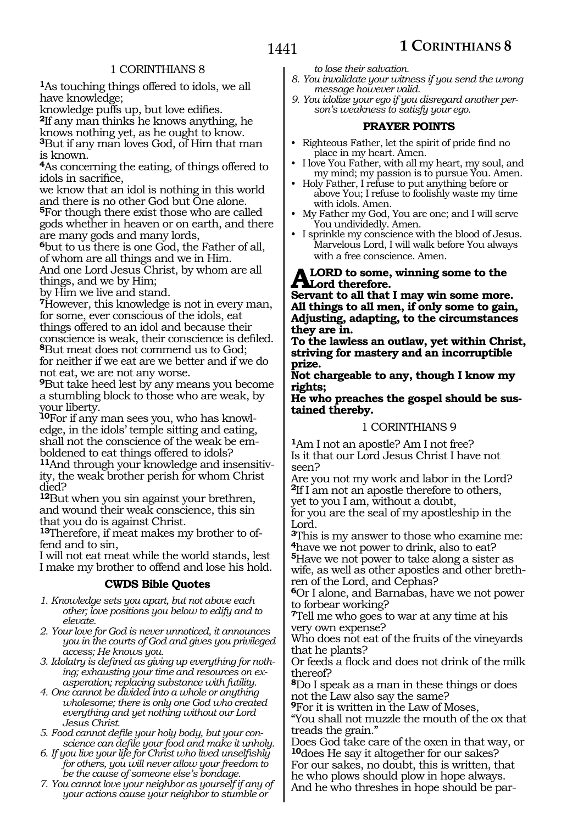**<sup>1</sup>**As touching things offered to idols, we all have knowledge;

knowledge puffs up, but love edifies. **<sup>2</sup>**If any man thinks he knows anything, he knows nothing yet, as he ought to know. **<sup>3</sup>**But if any man loves God, of Him that man is known.

**<sup>4</sup>**As concerning the eating, of things offered to idols in sacrifice,

we know that an idol is nothing in this world and there is no other God but One alone. **<sup>5</sup>**For though there exist those who are called gods whether in heaven or on earth, and there are many gods and many lords,

**<sup>6</sup>**but to us there is one God, the Father of all, of whom are all things and we in Him.

And one Lord Jesus Christ, by whom are all things, and we by Him;

by Him we live and stand.

**<sup>7</sup>**However, this knowledge is not in every man, for some, ever conscious of the idols, eat things offered to an idol and because their conscience is weak, their conscience is defiled. **<sup>8</sup>**But meat does not commend us to God; for neither if we eat are we better and if we do not eat, we are not any worse.

**<sup>9</sup>**But take heed lest by any means you become a stumbling block to those who are weak, by your liberty.

**10**For if any man sees you, who has knowledge, in the idols' temple sitting and eating, shall not the conscience of the weak be emboldened to eat things offered to idols?

**11**And through your knowledge and insensitivity, the weak brother perish for whom Christ died?

**<sup>12</sup>**But when you sin against your brethren, and wound their weak conscience, this sin that you do is against Christ.

**13**Therefore, if meat makes my brother to offend and to sin,

I will not eat meat while the world stands, lest I make my brother to offend and lose his hold.

#### **CWDS Bible Quotes**

- *1. Knowledge sets you apart, but not above each other; love positions you below to edify and to elevate.*
- *2. Your love for God is never unnoticed, it announces you in the courts of God and gives you privileged access; He knows you.*

*3. Idolatry is defined as giving up everything for nothing; exhausting your time and resources on exasperation; replacing substance with futility.*

*4. One cannot be divided into a whole or anything wholesome; there is only one God who created everything and yet nothing without our Lord Jesus Christ.*

*5. Food cannot defile your holy body, but your conscience can defile your food and make it unholy.*

*6. If you live your life for Christ who lived unselfishly for others, you will never allow your freedom to be the cause of someone else's bondage.*

*7. You cannot love your neighbor as yourself if any of your actions cause your neighbor to stumble or* 

*to lose their salvation.*

- *8. You invalidate your witness if you send the wrong message however valid.*
- *9. You idolize your ego if you disregard another person's weakness to satisfy your ego.*

#### **PRAYER POINTS**

• Righteous Father, let the spirit of pride find no place in my heart. Amen.

• I love You Father, with all my heart, my soul, and my mind; my passion is to pursue You. Amen.

• Holy Father, I refuse to put anything before or above You; I refuse to foolishly waste my time with idols. Amen.

- My Father my God, You are one; and I will serve You undividedly. Amen.
- I sprinkle my conscience with the blood of Jesus. Marvelous Lord, I will walk before You always with a free conscience. Amen.

#### LORD to some, winning some to the **Lord therefore.**

**Servant to all that I may win some more. All things to all men, if only some to gain, Adjusting, adapting, to the circumstances they are in.** 

**To the lawless an outlaw, yet within Christ, striving for mastery and an incorruptible prize.** 

**Not chargeable to any, though I know my rights;** 

#### **He who preaches the gospel should be sustained thereby.**

#### 1 CORINTHIANS 9

**<sup>1</sup>**Am I not an apostle? Am I not free? Is it that our Lord Jesus Christ I have not seen?

Are you not my work and labor in the Lord? **<sup>2</sup>**If I am not an apostle therefore to others, yet to you I am, without a doubt,

for you are the seal of my apostleship in the Lord.

**<sup>3</sup>**This is my answer to those who examine me: **<sup>4</sup>**have we not power to drink, also to eat?

**<sup>5</sup>**Have we not power to take along a sister as wife, as well as other apostles and other brethren of the Lord, and Cephas?

**<sup>6</sup>**Or I alone, and Barnabas, have we not power to forbear working?

**<sup>7</sup>**Tell me who goes to war at any time at his very own expense?

Who does not eat of the fruits of the vineyards that he plants?

Or feeds a flock and does not drink of the milk thereof?

**<sup>8</sup>**Do I speak as a man in these things or does not the Law also say the same?

**<sup>9</sup>**For it is written in the Law of Moses,

"You shall not muzzle the mouth of the ox that treads the grain."

Does God take care of the oxen in that way, or **<sup>10</sup>**does He say it altogether for our sakes? For our sakes, no doubt, this is written, that he who plows should plow in hope always.

And he who threshes in hope should be par-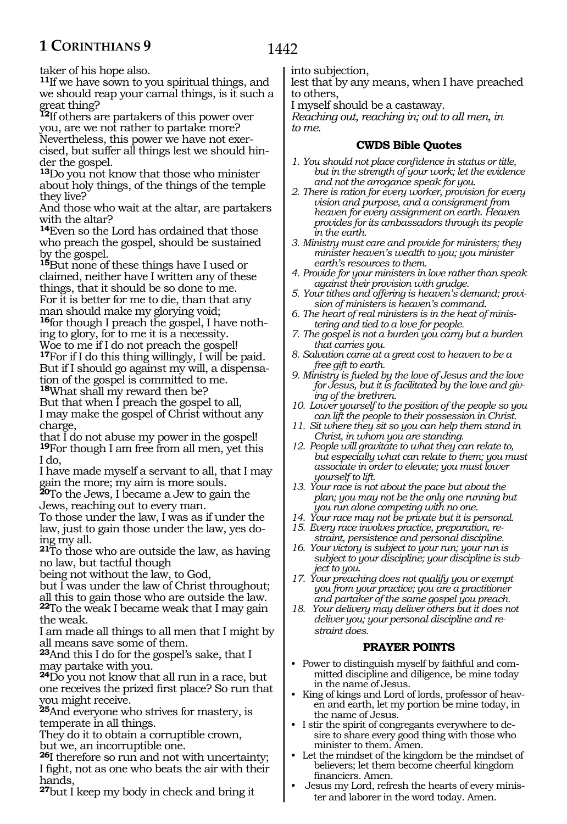taker of his hope also.

**<sup>11</sup>**If we have sown to you spiritual things, and we should reap your carnal things, is it such a great thing?

**<sup>12</sup>**If others are partakers of this power over you, are we not rather to partake more? Nevertheless, this power we have not exercised, but suffer all things lest we should hinder the gospel.

**<sup>13</sup>**Do you not know that those who minister about holy things, of the things of the temple they live?

And those who wait at the altar, are partakers with the altar?

**<sup>14</sup>**Even so the Lord has ordained that those who preach the gospel, should be sustained by the gospel.

**<sup>15</sup>**But none of these things have I used or claimed, neither have I written any of these things, that it should be so done to me. For it is better for me to die, than that any man should make my glorying void;

**16**for though I preach the gospel, I have nothing to glory, for to me it is a necessity.

Woe to me if I do not preach the gospel! **<sup>17</sup>**For if I do this thing willingly, I will be paid. But if I should go against my will, a dispensation of the gospel is committed to me. **<sup>18</sup>**What shall my reward then be?

But that when I preach the gospel to all, I may make the gospel of Christ without any charge,

that I do not abuse my power in the gospel! **<sup>19</sup>**For though I am free from all men, yet this I do,

I have made myself a servant to all, that I may gain the more; my aim is more souls.

**<sup>20</sup>**To the Jews, I became a Jew to gain the Jews, reaching out to every man.

To those under the law, I was as if under the law, just to gain those under the law, yes doing my all.

**<sup>21</sup>**To those who are outside the law, as having no law, but tactful though

being not without the law, to God,

but I was under the law of Christ throughout; all this to gain those who are outside the law. **<sup>22</sup>**To the weak I became weak that I may gain the weak.

I am made all things to all men that I might by all means save some of them.

**<sup>23</sup>**And this I do for the gospel's sake, that I may partake with you.

**<sup>24</sup>**Do you not know that all run in a race, but one receives the prized first place? So run that you might receive.

**<sup>25</sup>**And everyone who strives for mastery, is temperate in all things.

They do it to obtain a corruptible crown, but we, an incorruptible one.

**<sup>26</sup>**I therefore so run and not with uncertainty; I fight, not as one who beats the air with their hands,

**<sup>27</sup>**but I keep my body in check and bring it

into subjection,

lest that by any means, when I have preached to others,

I myself should be a castaway.

*Reaching out, reaching in; out to all men, in to me.*

## **CWDS Bible Quotes**

- *1. You should not place confidence in status or title, but in the strength of your work; let the evidence and not the arrogance speak for you.*
- *2. There is ration for every worker, provision for every vision and purpose, and a consignment from heaven for every assignment on earth. Heaven provides for its ambassadors through its people in the earth.*
- *3. Ministry must care and provide for ministers; they minister heaven's wealth to you; you minister earth's resources to them.*
- *4. Provide for your ministers in love rather than speak against their provision with grudge.*
- *5. Your tithes and offering is heaven's demand; provision of ministers is heaven's command.*
- *6. The heart of real ministers is in the heat of ministering and tied to a love for people.*
- *7. The gospel is not a burden you carry but a burden that carries you.*
- *8. Salvation came at a great cost to heaven to be a free gift to earth.*
- *9. Ministry is fueled by the love of Jesus and the love for Jesus, but it is facilitated by the love and giving of the brethren.*
- *10. Lower yourself to the position of the people so you can lift the people to their possession in Christ.*
- *11. Sit where they sit so you can help them stand in Christ, in whom you are standing.*
- *12. People will gravitate to what they can relate to, but especially what can relate to them; you must associate in order to elevate; you must lower yourself to lift.*
- *13. Your race is not about the pace but about the plan; you may not be the only one running but you run alone competing with no one.*
- *14. Your race may not be private but it is personal.*
- *15. Every race involves practice, preparation, restraint, persistence and personal discipline.*
- *16. Your victory is subject to your run; your run is subject to your discipline; your discipline is subject to you.*
- *17. Your preaching does not qualify you or exempt you from your practice; you are a practitioner and partaker of the same gospel you preach.*
- *18. Your delivery may deliver others but it does not deliver you; your personal discipline and restraint does.*

#### **PRAYER POINTS**

- Power to distinguish myself by faithful and committed discipline and diligence, be mine today in the name of Jesus.
- King of kings and Lord of lords, professor of heaven and earth, let my portion be mine today, in the name of Jesus.
- I stir the spirit of congregants everywhere to desire to share every good thing with those who minister to them. Amen.
- Let the mindset of the kingdom be the mindset of believers; let them become cheerful kingdom financiers. Amen.
- Jesus my Lord, refresh the hearts of every minister and laborer in the word today. Amen.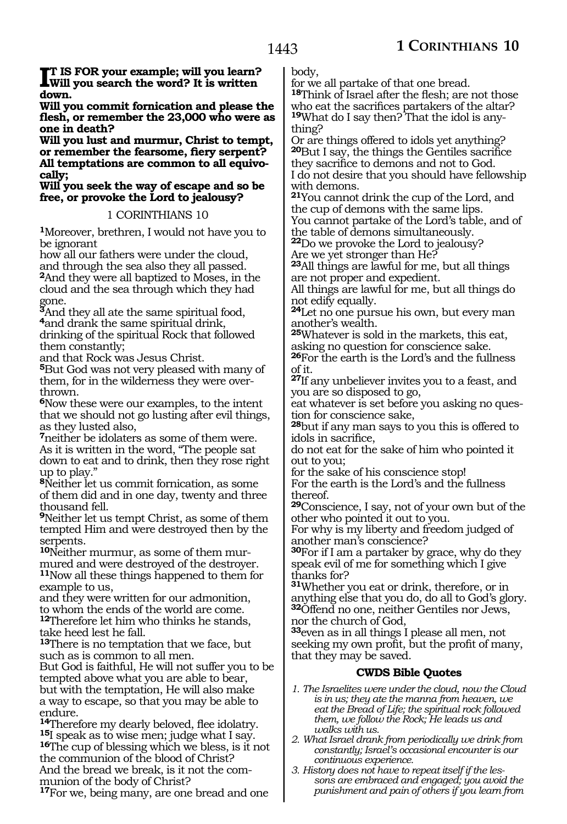**I**T IS FOR your example; will you learn?<br>Will you search the word? It is written **Will you search the word? It is written down.**

**Will you commit fornication and please the flesh, or remember the 23,000 who were as one in death?**

**Will you lust and murmur, Christ to tempt, or remember the fearsome, fiery serpent? All temptations are common to all equivocally;**

**Will you seek the way of escape and so be free, or provoke the Lord to jealousy?**

#### 1 CORINTHIANS 10

**<sup>1</sup>**Moreover, brethren, I would not have you to be ignorant

how all our fathers were under the cloud, and through the sea also they all passed. **<sup>2</sup>**And they were all baptized to Moses, in the cloud and the sea through which they had gone.

**<sup>3</sup>**And they all ate the same spiritual food, **<sup>4</sup>**and drank the same spiritual drink, drinking of the spiritual Rock that followed them constantly;

and that Rock was Jesus Christ.

**<sup>5</sup>**But God was not very pleased with many of them, for in the wilderness they were overthrown.

**<sup>6</sup>**Now these were our examples, to the intent that we should not go lusting after evil things, as they lusted also,

**<sup>7</sup>**neither be idolaters as some of them were. As it is written in the word, "The people sat down to eat and to drink, then they rose right up to play."

**<sup>8</sup>**Neither let us commit fornication, as some of them did and in one day, twenty and three thousand fell.

**<sup>9</sup>**Neither let us tempt Christ, as some of them tempted Him and were destroyed then by the serpents.

**10**Neither murmur, as some of them murmured and were destroyed of the destroyer. **<sup>11</sup>**Now all these things happened to them for example to us,

and they were written for our admonition, to whom the ends of the world are come. **<sup>12</sup>**Therefore let him who thinks he stands, take heed lest he fall.

**<sup>13</sup>**There is no temptation that we face, but such as is common to all men.

But God is faithful, He will not suffer you to be tempted above what you are able to bear, but with the temptation, He will also make a way to escape, so that you may be able to

endure.<br><sup>14</sup>Therefore my dearly beloved, flee idolatry. **<sup>15</sup>I** speak as to wise men; judge what I say.<br>**<sup>16</sup>The cup of blessing which we bless, is it not** the communion of the blood of Christ? And the bread we break, is it not the communion of the body of Christ?

**<sup>17</sup>**For we, being many, are one bread and one

body,

for we all partake of that one bread. **<sup>18</sup>**Think of Israel after the flesh; are not those who eat the sacrifices partakers of the altar? **19**What do I say then? That the idol is anything?

Or are things offered to idols yet anything? **<sup>20</sup>**But I say, the things the Gentiles sacrifice they sacrifice to demons and not to God. I do not desire that you should have fellowship with demons.

**<sup>21</sup>**You cannot drink the cup of the Lord, and the cup of demons with the same lips. You cannot partake of the Lord's table, and of

the table of demons simultaneously. **<sup>22</sup>**Do we provoke the Lord to jealousy?

Are we yet stronger than He? **<sup>23</sup>**All things are lawful for me, but all things

are not proper and expedient.

All things are lawful for me, but all things do not edify equally.

**<sup>24</sup>**Let no one pursue his own, but every man another's wealth.

**<sup>25</sup>**Whatever is sold in the markets, this eat, asking no question for conscience sake.

**<sup>26</sup>**For the earth is the Lord's and the fullness of it.

**<sup>27</sup>**If any unbeliever invites you to a feast, and you are so disposed to go,

eat whatever is set before you asking no question for conscience sake,

**<sup>28</sup>**but if any man says to you this is offered to idols in sacrifice,

do not eat for the sake of him who pointed it out to you;

for the sake of his conscience stop! For the earth is the Lord's and the fullness thereof.

**<sup>29</sup>**Conscience, I say, not of your own but of the other who pointed it out to you.

For why is my liberty and freedom judged of another man's conscience?

**<sup>30</sup>**For if I am a partaker by grace, why do they speak evil of me for something which I give thanks for?

**<sup>31</sup>**Whether you eat or drink, therefore, or in anything else that you do, do all to God's glory. **<sup>32</sup>**Offend no one, neither Gentiles nor Jews, nor the church of God,

**<sup>33</sup>**even as in all things I please all men, not seeking my own profit, but the profit of many, that they may be saved.

#### **CWDS Bible Quotes**

- *1. The Israelites were under the cloud, now the Cloud is in us; they ate the manna from heaven, we eat the Bread of Life; the spiritual rock followed them, we follow the Rock; He leads us and walks with us.*
- *2. What Israel drank from periodically we drink from constantly; Israel's occasional encounter is our continuous experience.*
- *3. History does not have to repeat itself if the lessons are embraced and engaged; you avoid the punishment and pain of others if you learn from*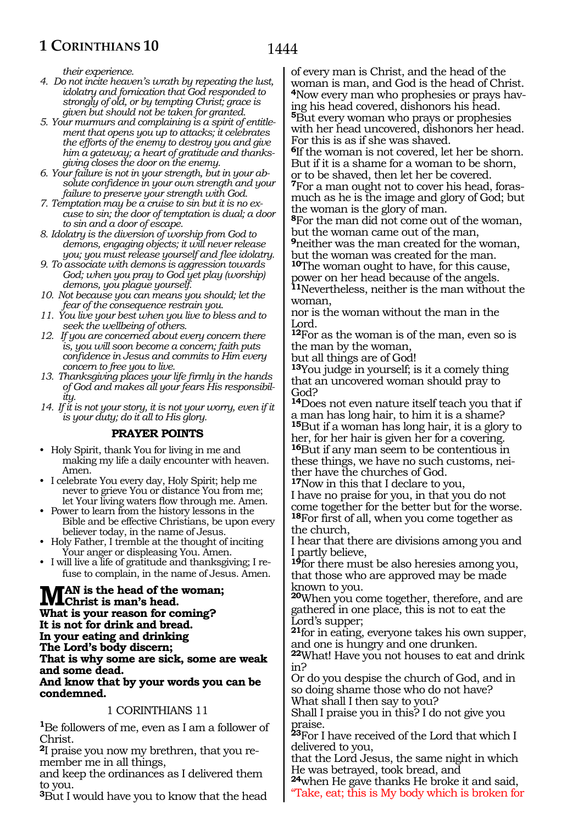*their experience.*

- *4. Do not incite heaven's wrath by repeating the lust, idolatry and fornication that God responded to strongly of old, or by tempting Christ; grace is given but should not be taken for granted.*
- *5. Your murmurs and complaining is a spirit of entitlement that opens you up to attacks; it celebrates the efforts of the enemy to destroy you and give him a gateway; a heart of gratitude and thanksgiving closes the door on the enemy.*
- *6. Your failure is not in your strength, but in your absolute confidence in your own strength and your failure to preserve your strength with God.*
- *7. Temptation may be a cruise to sin but it is no excuse to sin; the door of temptation is dual; a door to sin and a door of escape.*
- *8. Idolatry is the diversion of worship from God to demons, engaging objects; it will never release you; you must release yourself and flee idolatry.*
- *9. To associate with demons is aggression towards God; when you pray to God yet play (worship) demons, you plague yourself.*
- *10. Not because you can means you should; let the fear of the consequence restrain you.*
- *11. You live your best when you live to bless and to seek the wellbeing of others.*
- *12. If you are concerned about every concern there is, you will soon become a concern; faith puts confidence in Jesus and commits to Him every concern to free you to live.*
- *13. Thanksgiving places your life firmly in the hands of God and makes all your fears His responsibility.*
- *14. If it is not your story, it is not your worry, even if it is your duty; do it all to His glory.*

#### **PRAYER POINTS**

- Holy Spirit, thank You for living in me and making my life a daily encounter with heaven. Amen.
- I celebrate You every day, Holy Spirit; help me never to grieve You or distance You from me; let Your living waters flow through me. Amen.
- Power to learn from the history lessons in the Bible and be effective Christians, be upon every believer today, in the name of Jesus.
- Holy Father, I tremble at the thought of inciting Your anger or displeasing You. Amen.
- I will live a life of gratitude and thanksgiving; I refuse to complain, in the name of Jesus. Amen.

**Man is the head of the woman; Christ is man's head. What is your reason for coming? It is not for drink and bread. In your eating and drinking The Lord's body discern; That is why some are sick, some are weak and some dead. And know that by your words you can be condemned.**

#### 1 CORINTHIANS 11

**<sup>1</sup>**Be followers of me, even as I am a follower of Christ.

**<sup>2</sup>**I praise you now my brethren, that you re- member me in all things,

and keep the ordinances as I delivered them to you.

**<sup>3</sup>**But I would have you to know that the head

of every man is Christ, and the head of the woman is man, and God is the head of Christ. **4**Now every man who prophesies or prays having his head covered, dishonors his head. **<sup>5</sup>**But every woman who prays or prophesies with her head uncovered, dishonors her head. For this is as if she was shaved.

**<sup>6</sup>**If the woman is not covered, let her be shorn. But if it is a shame for a woman to be shorn, or to be shaved, then let her be covered. **7**For a man ought not to cover his head, forasmuch as he is the image and glory of God; but the woman is the glory of man.

**<sup>8</sup>**For the man did not come out of the woman, but the woman came out of the man, **<sup>9</sup>**neither was the man created for the woman,

but the woman was created for the man.

**<sup>10</sup>**The woman ought to have, for this cause, power on her head because of the angels. **<sup>11</sup>**Nevertheless, neither is the man without the woman,

nor is the woman without the man in the Lord.

**<sup>12</sup>**For as the woman is of the man, even so is the man by the woman,

but all things are of God!

**<sup>13</sup>**You judge in yourself; is it a comely thing that an uncovered woman should pray to God?

**<sup>14</sup>**Does not even nature itself teach you that if a man has long hair, to him it is a shame? **<sup>15</sup>**But if a woman has long hair, it is a glory to her, for her hair is given her for a covering. **<sup>16</sup>**But if any man seem to be contentious in these things, we have no such customs, neither have the churches of God.

**<sup>17</sup>**Now in this that I declare to you,

I have no praise for you, in that you do not come together for the better but for the worse. **<sup>18</sup>**For first of all, when you come together as the church,

I hear that there are divisions among you and I partly believe,

**<sup>19</sup>**for there must be also heresies among you, that those who are approved may be made known to you.

**<sup>20</sup>**When you come together, therefore, and are gathered in one place, this is not to eat the Lord's supper;

**<sup>21</sup>**for in eating, everyone takes his own supper, and one is hungry and one drunken.

**<sup>22</sup>**What! Have you not houses to eat and drink in?

Or do you despise the church of God, and in so doing shame those who do not have? What shall I then say to you?

Shall I praise you in this? I do not give you praise.

**<sup>23</sup>**For I have received of the Lord that which I delivered to you,

that the Lord Jesus, the same night in which He was betrayed, took bread, and

**<sup>24</sup>**when He gave thanks He broke it and said,

Take, eat; this is My body which is broken for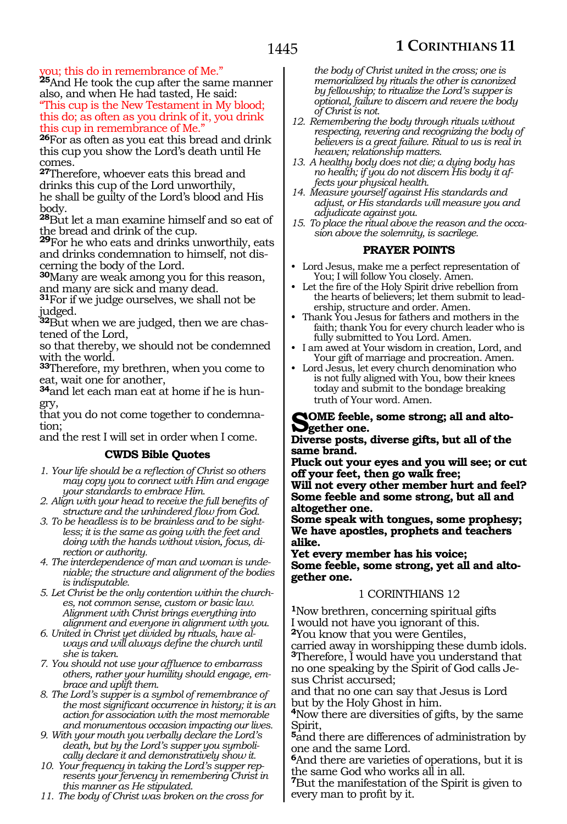you; this do in remembrance of Me."

**<sup>25</sup>**And He took the cup after the same manner also, and when He had tasted, He said: "This cup is the New Testament in My blood; this do; as often as you drink of it, you drink this cup in remembrance of Me."

**<sup>26</sup>**For as often as you eat this bread and drink this cup you show the Lord's death until He comes.

**<sup>27</sup>**Therefore, whoever eats this bread and drinks this cup of the Lord unworthily, he shall be guilty of the Lord's blood and His body.

**<sup>28</sup>**But let a man examine himself and so eat of the bread and drink of the cup.

**<sup>29</sup>**For he who eats and drinks unworthily, eats and drinks condemnation to himself, not discerning the body of the Lord.

**<sup>30</sup>**Many are weak among you for this reason, and many are sick and many dead.

**<sup>31</sup>**For if we judge ourselves, we shall not be judged.

**32**But when we are judged, then we are chastened of the Lord,

so that thereby, we should not be condemned with the world.

**<sup>33</sup>**Therefore, my brethren, when you come to eat, wait one for another,

**34**and let each man eat at home if he is hungry,

that you do not come together to condemnation;

and the rest I will set in order when I come.

#### **CWDS Bible Quotes**

*1. Your life should be a reflection of Christ so others may copy you to connect with Him and engage your standards to embrace Him.*

*2. Align with your head to receive the full benefits of structure and the unhindered flow from God.*

*3. To be headless is to be brainless and to be sightless; it is the same as going with the feet and doing with the hands without vision, focus, direction or authority.*

*4. The interdependence of man and woman is undeniable; the structure and alignment of the bodies is indisputable.*

*5. Let Christ be the only contention within the churches, not common sense, custom or basic law. Alignment with Christ brings everything into alignment and everyone in alignment with you.*

*6. United in Christ yet divided by rituals, have always and will always define the church until she is taken.*

*7. You should not use your affluence to embarrass others, rather your humility should engage, embrace and uplift them.*

*8. The Lord's supper is a symbol of remembrance of the most significant occurrence in history; it is an action for association with the most memorable and monumentous occasion impacting our lives.*

*9. With your mouth you verbally declare the Lord's death, but by the Lord's supper you symbolically declare it and demonstratively show it.*

*10. Your frequency in taking the Lord's supper represents your fervency in remembering Christ in this manner as He stipulated.*

*11. The body of Christ was broken on the cross for* 

*the body of Christ united in the cross; one is memorialized by rituals the other is canonized by fellowship; to ritualize the Lord's supper is optional, failure to discern and revere the body of Christ is not.*

- *12. Remembering the body through rituals without respecting, revering and recognizing the body of believers is a great failure. Ritual to us is real in heaven; relationship matters.*
- *13. A healthy body does not die; a dying body has no health; if you do not discern His body it affects your physical health.*

*14. Measure yourself against His standards and adjust, or His standards will measure you and adjudicate against you.*

*15. To place the ritual above the reason and the occasion above the solemnity, is sacrilege.* 

#### **PRAYER POINTS**

- Lord Jesus, make me a perfect representation of You; I will follow You closely. Amen.
- Let the fire of the Holy Spirit drive rebellion from the hearts of believers; let them submit to leadership, structure and order. Amen.
- Thank You Jesus for fathers and mothers in the faith; thank You for every church leader who is fully submitted to You Lord. Amen.
- I am awed at Your wisdom in creation, Lord, and Your gift of marriage and procreation. Amen.
- Lord Jesus, let every church denomination who is not fully aligned with You, bow their knees today and submit to the bondage breaking truth of Your word. Amen.

#### **Some feeble, some strong; all and altogether one.**

**Diverse posts, diverse gifts, but all of the same brand.**

**Pluck out your eyes and you will see; or cut off your feet, then go walk free;**

**Will not every other member hurt and feel? Some feeble and some strong, but all and altogether one.**

**Some speak with tongues, some prophesy; We have apostles, prophets and teachers alike.**

**Yet every member has his voice; Some feeble, some strong, yet all and altogether one.**

#### 1 CORINTHIANS 12

**<sup>1</sup>**Now brethren, concerning spiritual gifts I would not have you ignorant of this. **<sup>2</sup>**You know that you were Gentiles,

carried away in worshipping these dumb idols. **<sup>3</sup>**Therefore, I would have you understand that no one speaking by the Spirit of God calls Jesus Christ accursed;

and that no one can say that Jesus is Lord but by the Holy Ghost in him.

**<sup>4</sup>**Now there are diversities of gifts, by the same Spirit,

**<sup>5</sup>**and there are differences of administration by one and the same Lord.

**<sup>6</sup>**And there are varieties of operations, but it is the same God who works all in all.

**<sup>7</sup>**But the manifestation of the Spirit is given to every man to profit by it.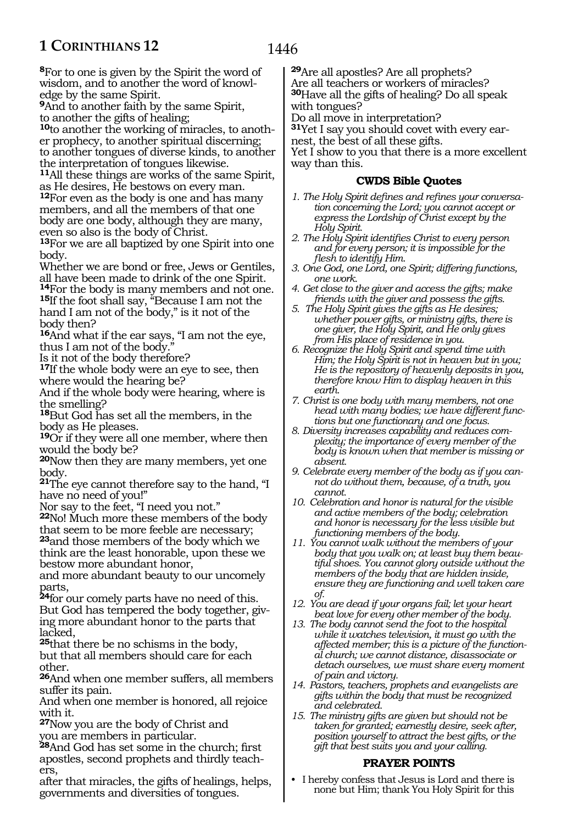**<sup>8</sup>**For to one is given by the Spirit the word of wisdom, and to another the word of knowledge by the same Spirit.

**<sup>9</sup>**And to another faith by the same Spirit, to another the gifts of healing;

**10**to another the working of miracles, to another prophecy, to another spiritual discerning; to another tongues of diverse kinds, to another the interpretation of tongues likewise.

**<sup>11</sup>**All these things are works of the same Spirit, as He desires, He bestows on every man.

**<sup>12</sup>**For even as the body is one and has many members, and all the members of that one body are one body, although they are many, even so also is the body of Christ.

**<sup>13</sup>**For we are all baptized by one Spirit into one body.

Whether we are bond or free, Jews or Gentiles, all have been made to drink of the one Spirit.

**<sup>14</sup>**For the body is many members and not one. **<sup>15</sup>**If the foot shall say, "Because I am not the hand I am not of the body," is it not of the body then?

**<sup>16</sup>**And what if the ear says, "I am not the eye, thus I am not of the body."

Is it not of the body therefore?

**<sup>17</sup>**If the whole body were an eye to see, then where would the hearing be?

And if the whole body were hearing, where is the smelling?

**<sup>18</sup>**But God has set all the members, in the body as He pleases.

**<sup>19</sup>**Or if they were all one member, where then would the body be?

**<sup>20</sup>**Now then they are many members, yet one body.

**<sup>21</sup>**The eye cannot therefore say to the hand, "I have no need of you!"

Nor say to the feet, "I need you not."

**<sup>22</sup>**No! Much more these members of the body that seem to be more feeble are necessary; **<sup>23</sup>**and those members of the body which we

think are the least honorable, upon these we bestow more abundant honor,

and more abundant beauty to our uncomely parts,

**<sup>24</sup>**for our comely parts have no need of this. But God has tempered the body together, giving more abundant honor to the parts that lacked,

**<sup>25</sup>**that there be no schisms in the body, but that all members should care for each other.

**<sup>26</sup>**And when one member suffers, all members suffer its pain.

And when one member is honored, all rejoice with it.

**<sup>27</sup>**Now you are the body of Christ and you are members in particular.

**<sup>28</sup>**And God has set some in the church; first apostles, second prophets and thirdly teachers,

after that miracles, the gifts of healings, helps, governments and diversities of tongues.

**<sup>29</sup>**Are all apostles? Are all prophets? Are all teachers or workers of miracles? **<sup>30</sup>**Have all the gifts of healing? Do all speak with tongues?

Do all move in interpretation?

**<sup>31</sup>**Yet I say you should covet with every ear- nest, the best of all these gifts.

Yet I show to you that there is a more excellent way than this.

#### **CWDS Bible Quotes**

- *1. The Holy Spirit defines and refines your conversation concerning the Lord; you cannot accept or express the Lordship of Christ except by the Holy Spirit.*
- *2. The Holy Spirit identifies Christ to every person and for every person; it is impossible for the flesh to identify Him.*
- *3. One God, one Lord, one Spirit; differing functions, one work.*
- *4. Get close to the giver and access the gifts; make friends with the giver and possess the gifts.*
- *5. The Holy Spirit gives the gifts as He desires; whether power gifts, or ministry gifts, there is one giver, the Holy Spirit, and He only gives from His place of residence in you.*
- *6. Recognize the Holy Spirit and spend time with Him; the Holy Spirit is not in heaven but in you; He is the repository of heavenly deposits in you, therefore know Him to display heaven in this earth.*
- *7. Christ is one body with many members, not one head with many bodies; we have different functions but one functionary and one focus.*
- *8. Diversity increases capability and reduces complexity; the importance of every member of the body is known when that member is missing or absent.*
- *9. Celebrate every member of the body as if you cannot do without them, because, of a truth, you cannot.*
- *10. Celebration and honor is natural for the visible and active members of the body; celebration and honor is necessary for the less visible but functioning members of the body.*
- *11. You cannot walk without the members of your body that you walk on; at least buy them beautiful shoes. You cannot glory outside without the members of the body that are hidden inside, ensure they are functioning and well taken care of.*
- *12. You are dead if your organs fail; let your heart beat love for every other member of the body.*
- *13. The body cannot send the foot to the hospital while it watches television, it must go with the affected member; this is a picture of the functional church; we cannot distance, disassociate or detach ourselves, we must share every moment of pain and victory.*
- *14. Pastors, teachers, prophets and evangelists are gifts within the body that must be recognized and celebrated.*
- *15. The ministry gifts are given but should not be taken for granted; earnestly desire, seek after, position yourself to attract the best gifts, or the gift that best suits you and your calling.*

#### **PRAYER POINTS**

• I hereby confess that Jesus is Lord and there is none but Him; thank You Holy Spirit for this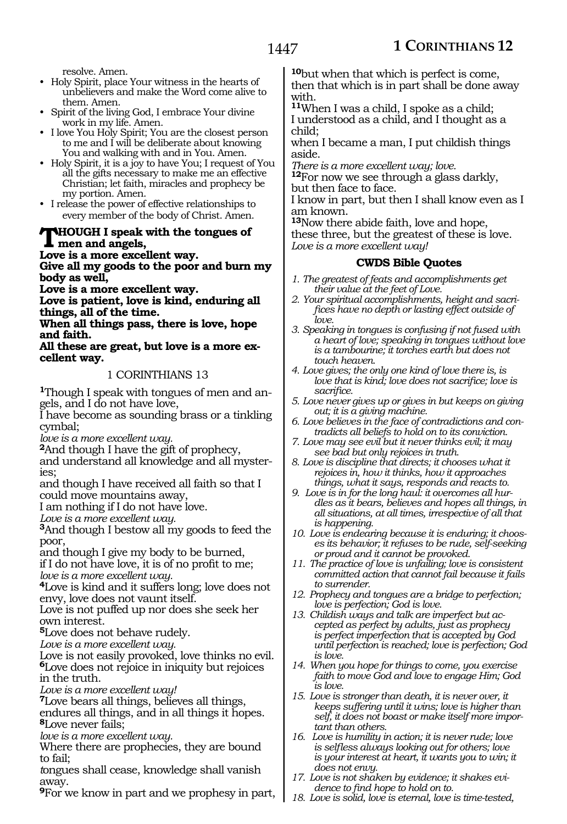resolve. Amen.

• Holy Spirit, place Your witness in the hearts of unbelievers and make the Word come alive to them. Amen.

- Spirit of the living God, I embrace Your divine work in my life. Amen.
- I love You Holy Spirit; You are the closest person to me and I will be deliberate about knowing You and walking with and in You. Amen.
- Holy Spirit, it is a joy to have You; I request of You all the gifts necessary to make me an effective Christian; let faith, miracles and prophecy be my portion. Amen.
- I release the power of effective relationships to every member of the body of Christ. Amen.

#### **Though I speak with the tongues of men and angels,**

**Love is a more excellent way. Give all my goods to the poor and burn my body as well,**

**Love is a more excellent way.**

**Love is patient, love is kind, enduring all things, all of the time.**

**When all things pass, there is love, hope and faith.**

**All these are great, but love is a more excellent way.**

#### 1 CORINTHIANS 13

**1**Though I speak with tongues of men and angels, and I do not have love,

I have become as sounding brass or a tinkling cymbal;

*love is a more excellent way.*

**<sup>2</sup>**And though I have the gift of prophecy,

and understand all knowledge and all mysteries;

and though I have received all faith so that I could move mountains away,

I am nothing if I do not have love.

*Love is a more excellent way.*

**<sup>3</sup>**And though I bestow all my goods to feed the poor,

and though I give my body to be burned,

if I do not have love, it is of no profit to me; *love is a more excellent way.*

**<sup>4</sup>**Love is kind and it suffers long; love does not

envy, love does not vaunt itself.

Love is not puffed up nor does she seek her own interest.

**<sup>5</sup>**Love does not behave rudely.

*Love is a more excellent way.* 

Love is not easily provoked, love thinks no evil. **<sup>6</sup>**Love does not rejoice in iniquity but rejoices in the truth.

*Love is a more excellent way!* 

**<sup>7</sup>**Love bears all things, believes all things, endures all things, and in all things it hopes.

**<sup>8</sup>**Love never fails;

*love is a more excellent way.* 

Where there are prophecies, they are bound to fail;

*t*ongues shall cease, knowledge shall vanish away.

**<sup>9</sup>**For we know in part and we prophesy in part,

**<sup>10</sup>**but when that which is perfect is come, then that which is in part shall be done away with.

**<sup>11</sup>**When I was a child, I spoke as a child; I understood as a child, and I thought as a child;

when I became a man, I put childish things aside.

*There is a more excellent way; love.*

**<sup>12</sup>**For now we see through a glass darkly, but then face to face.

I know in part, but then I shall know even as I am known.

**<sup>13</sup>**Now there abide faith, love and hope, these three, but the greatest of these is love. *Love is a more excellent way!*

#### **CWDS Bible Quotes**

- *1. The greatest of feats and accomplishments get their value at the feet of Love.*
- *2. Your spiritual accomplishments, height and sacrifices have no depth or lasting effect outside of love.*
- *3. Speaking in tongues is confusing if not fused with a heart of love; speaking in tongues without love is a tambourine; it torches earth but does not touch heaven.*
- *4. Love gives; the only one kind of love there is, is love that is kind; love does not sacrifice; love is sacrifice.*
- *5. Love never gives up or gives in but keeps on giving out; it is a giving machine.*
- *6. Love believes in the face of contradictions and contradicts all beliefs to hold on to its conviction.*
- *7. Love may see evil but it never thinks evil; it may see bad but only rejoices in truth.*
- *8. Love is discipline that directs; it chooses what it rejoices in, how it thinks, how it approaches things, what it says, responds and reacts to.*
- *9. Love is in for the long haul: it overcomes all hurdles as it bears, believes and hopes all things, in all situations, at all times, irrespective of all that is happening.*
- *10. Love is endearing because it is enduring; it chooses its behavior; it refuses to be rude, self-seeking or proud and it cannot be provoked.*
- *11. The practice of love is unfailing; love is consistent committed action that cannot fail because it fails to surrender.*
- *12. Prophecy and tongues are a bridge to perfection; love is perfection; God is love.*
- *13. Childish ways and talk are imperfect but accepted as perfect by adults, just as prophecy is perfect imperfection that is accepted by God until perfection is reached; love is perfection; God is love.*
- *14. When you hope for things to come, you exercise faith to move God and love to engage Him; God is love.*
- *15. Love is stronger than death, it is never over, it keeps suffering until it wins; love is higher than self, it does not boast or make itself more important than others.*
- *16. Love is humility in action; it is never rude; love is selfless always looking out for others; love is your interest at heart, it wants you to win; it does not envy.*
- *17. Love is not shaken by evidence; it shakes evidence to find hope to hold on to.*
- *18. Love is solid, love is eternal, love is time-tested,*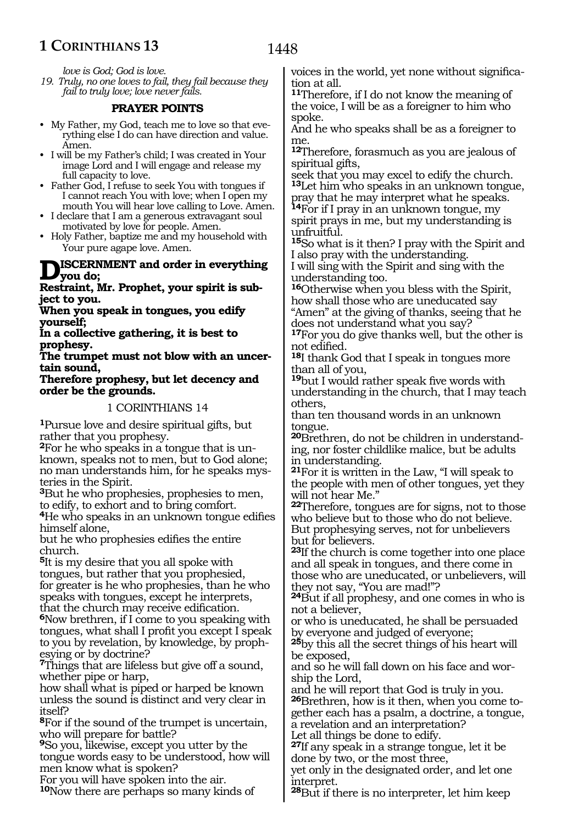1448

*love is God; God is love.*

*19. Truly, no one loves to fail, they fail because they fail to truly love; love never fails.* 

#### **PRAYER POINTS**

- My Father, my God, teach me to love so that everything else I do can have direction and value. Amen.
- I will be my Father's child; I was created in Your image Lord and I will engage and release my full capacity to love.
- Father God, I refuse to seek You with tongues if I cannot reach You with love; when I open my mouth You will hear love calling to Love. Amen.
- I declare that I am a generous extravagant soul motivated by love for people. Amen.
- Holy Father, baptize me and my household with Your pure agape love. Amen.

## **Discernment and order in everything you do;**

#### **Restraint, Mr. Prophet, your spirit is subject to you.**

**When you speak in tongues, you edify yourself;**

**In a collective gathering, it is best to prophesy.**

**The trumpet must not blow with an uncertain sound,**

**Therefore prophesy, but let decency and order be the grounds.**

#### 1 CORINTHIANS 14

**<sup>1</sup>**Pursue love and desire spiritual gifts, but rather that you prophesy.

**2**For he who speaks in a tongue that is unknown, speaks not to men, but to God alone; no man understands him, for he speaks mysteries in the Spirit.

**<sup>3</sup>**But he who prophesies, prophesies to men, to edify, to exhort and to bring comfort.

**<sup>4</sup>**He who speaks in an unknown tongue edifies himself alone,

but he who prophesies edifies the entire church.

**<sup>5</sup>**It is my desire that you all spoke with tongues, but rather that you prophesied, for greater is he who prophesies, than he who speaks with tongues, except he interprets,

that the church may receive edification. **<sup>6</sup>**Now brethren, if I come to you speaking with tongues, what shall I profit you except I speak to you by revelation, by knowledge, by prophesying or by doctrine?

**<sup>7</sup>**Things that are lifeless but give off a sound, whether pipe or harp,

how shall what is piped or harped be known unless the sound is distinct and very clear in itself?

**<sup>8</sup>**For if the sound of the trumpet is uncertain, who will prepare for battle?

**<sup>9</sup>**So you, likewise, except you utter by the tongue words easy to be understood, how will men know what is spoken?

For you will have spoken into the air.

**<sup>10</sup>**Now there are perhaps so many kinds of

voices in the world, yet none without signification at all.

**<sup>11</sup>**Therefore, if I do not know the meaning of the voice, I will be as a foreigner to him who spoke.

And he who speaks shall be as a foreigner to me.

**<sup>12</sup>**Therefore, forasmuch as you are jealous of spiritual gifts,

seek that you may excel to edify the church. **<sup>13</sup>**Let him who speaks in an unknown tongue, pray that he may interpret what he speaks.

**<sup>14</sup>**For if I pray in an unknown tongue, my spirit prays in me, but my understanding is unfruitful.

**<sup>15</sup>**So what is it then? I pray with the Spirit and I also pray with the understanding.

I will sing with the Spirit and sing with the understanding too.

**<sup>16</sup>**Otherwise when you bless with the Spirit, how shall those who are uneducated say "Amen" at the giving of thanks, seeing that he does not understand what you say?

**<sup>17</sup>**For you do give thanks well, but the other is not edified.

**<sup>18</sup>**I thank God that I speak in tongues more than all of you,

**<sup>19</sup>**but I would rather speak five words with understanding in the church, that I may teach others,

than ten thousand words in an unknown tongue.

**20**Brethren, do not be children in understanding, nor foster childlike malice, but be adults in understanding.

**<sup>21</sup>**For it is written in the Law, "I will speak to the people with men of other tongues, yet they will not hear Me."

**<sup>22</sup>**Therefore, tongues are for signs, not to those who believe but to those who do not believe. But prophesying serves, not for unbelievers but for believers.

**<sup>23</sup>**If the church is come together into one place and all speak in tongues, and there come in those who are uneducated, or unbelievers, will they not say, "You are mad!"?

**<sup>24</sup>**But if all prophesy, and one comes in who is not a believer,

or who is uneducated, he shall be persuaded by everyone and judged of everyone;

**<sup>25</sup>**by this all the secret things of his heart will be exposed,

and so he will fall down on his face and worship the Lord,

and he will report that God is truly in you.

**26**Brethren, how is it then, when you come together each has a psalm, a doctrine, a tongue, a revelation and an interpretation? Let all things be done to edify.

**<sup>27</sup>**If any speak in a strange tongue, let it be

done by two, or the most three, yet only in the designated order, and let one

interpret. **<sup>28</sup>**But if there is no interpreter, let him keep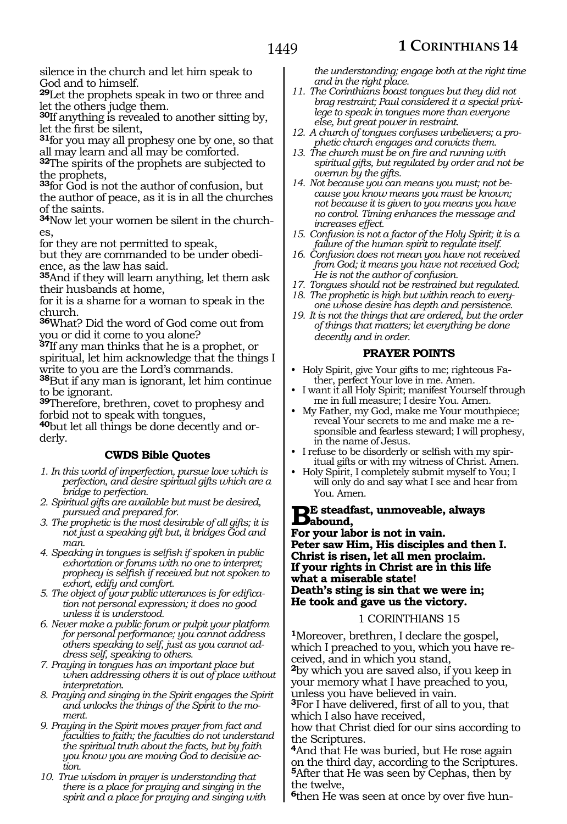silence in the church and let him speak to God and to himself.

**<sup>29</sup>**Let the prophets speak in two or three and let the others judge them.

**<sup>30</sup>**If anything is revealed to another sitting by, let the first be silent,

**<sup>31</sup>**for you may all prophesy one by one, so that all may learn and all may be comforted.

**<sup>32</sup>**The spirits of the prophets are subjected to the prophets,

**<sup>33</sup>**for God is not the author of confusion, but the author of peace, as it is in all the churches of the saints.

**34**Now let your women be silent in the churches,

for they are not permitted to speak,

but they are commanded to be under obedience, as the law has said.

**<sup>35</sup>**And if they will learn anything, let them ask their husbands at home,

for it is a shame for a woman to speak in the church.

**<sup>36</sup>**What? Did the word of God come out from you or did it come to you alone?

**<sup>37</sup>**If any man thinks that he is a prophet, or spiritual, let him acknowledge that the things I write to you are the Lord's commands.

**<sup>38</sup>**But if any man is ignorant, let him continue to be ignorant.

**<sup>39</sup>**Therefore, brethren, covet to prophesy and forbid not to speak with tongues,

**40**but let all things be done decently and orderly.

#### **CWDS Bible Quotes**

- *1. In this world of imperfection, pursue love which is perfection, and desire spiritual gifts which are a bridge to perfection.*
- *2. Spiritual gifts are available but must be desired, pursued and prepared for.*
- *3. The prophetic is the most desirable of all gifts; it is not just a speaking gift but, it bridges God and man.*
- *4. Speaking in tongues is selfish if spoken in public exhortation or forums with no one to interpret; prophecy is selfish if received but not spoken to exhort, edify and comfort.*
- *5. The object of your public utterances is for edification not personal expression; it does no good unless it is understood.*
- *6. Never make a public forum or pulpit your platform for personal performance; you cannot address others speaking to self, just as you cannot address self, speaking to others.*
- *7. Praying in tongues has an important place but when addressing others it is out of place without interpretation.*
- *8. Praying and singing in the Spirit engages the Spirit and unlocks the things of the Spirit to the moment.*
- *9. Praying in the Spirit moves prayer from fact and faculties to faith; the faculties do not understand the spiritual truth about the facts, but by faith you know you are moving God to decisive action.*
- *10. True wisdom in prayer is understanding that there is a place for praying and singing in the spirit and a place for praying and singing with*

*the understanding; engage both at the right time and in the right place.*

- *11. The Corinthians boast tongues but they did not brag restraint; Paul considered it a special privilege to speak in tongues more than everyone else, but great power in restraint.*
- *12. A church of tongues confuses unbelievers; a prophetic church engages and convicts them.*
- *13. The church must be on fire and running with spiritual gifts, but regulated by order and not be overrun by the gifts.*
- *14. Not because you can means you must; not because you know means you must be known; not because it is given to you means you have no control. Timing enhances the message and increases effect.*
- *15. Confusion is not a factor of the Holy Spirit; it is a failure of the human spirit to regulate itself.*
- *16. Confusion does not mean you have not received from God; it means you have not received God; He is not the author of confusion.*
- *17. Tongues should not be restrained but regulated.*
- *18. The prophetic is high but within reach to everyone whose desire has depth and persistence.*
- *19. It is not the things that are ordered, but the order of things that matters; let everything be done decently and in order.*

#### **PRAYER POINTS**

- Holy Spirit, give Your gifts to me; righteous Father, perfect Your love in me. Amen.
- I want it all Holy Spirit; manifest Yourself through me in full measure; I desire You. Amen.
- My Father, my God, make me Your mouthpiece; reveal Your secrets to me and make me a responsible and fearless steward; I will prophesy, in the name of Jesus.
- I refuse to be disorderly or selfish with my spiritual gifts or with my witness of Christ. Amen.
- Holy Spirit, I completely submit myself to You; I will only do and say what I see and hear from You. Amen.

# **Be steadfast, unmoveable, always**<br> **Babound,**<br> **Registered** in a patt in principal

**For your labor is not in vain. Peter saw Him, His disciples and then I. Christ is risen, let all men proclaim. If your rights in Christ are in this life what a miserable state! Death's sting is sin that we were in; He took and gave us the victory.** 

#### 1 CORINTHIANS 15

**<sup>1</sup>**Moreover, brethren, I declare the gospel, which I preached to you, which you have received, and in which you stand,

**<sup>2</sup>**by which you are saved also, if you keep in your memory what I have preached to you, unless you have believed in vain.

**<sup>3</sup>**For I have delivered, first of all to you, that which I also have received,

how that Christ died for our sins according to the Scriptures.

**<sup>4</sup>**And that He was buried, but He rose again on the third day, according to the Scriptures. **<sup>5</sup>**After that He was seen by Cephas, then by the twelve,

**6**then He was seen at once by over five hun-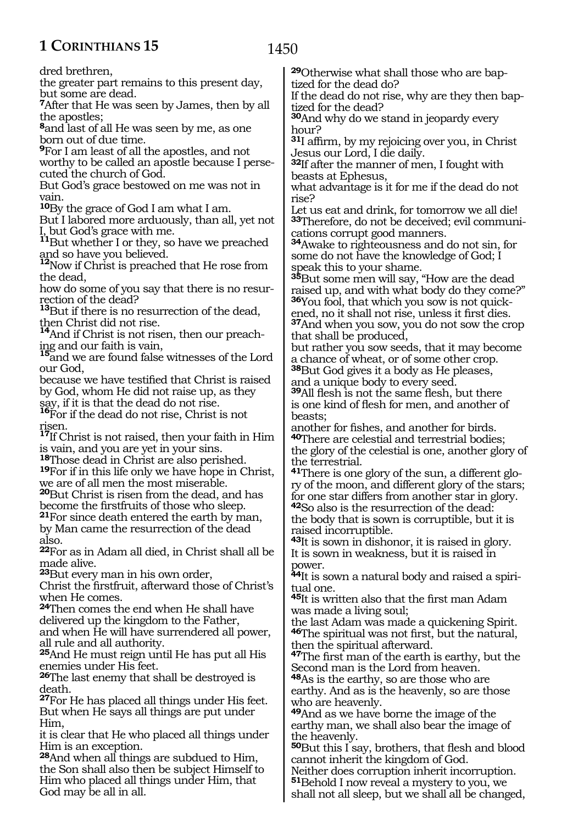1450

dred brethren,

the greater part remains to this present day, but some are dead.

**<sup>7</sup>**After that He was seen by James, then by all the apostles;

**<sup>8</sup>**and last of all He was seen by me, as one born out of due time.

**<sup>9</sup>**For I am least of all the apostles, and not

worthy to be called an apostle because I persecuted the church of God.

But God's grace bestowed on me was not in vain.

**<sup>10</sup>**By the grace of God I am what I am.

But I labored more arduously, than all, yet not I, but God's grace with me.

**<sup>11</sup>**But whether I or they, so have we preached and so have you believed.

**<sup>12</sup>**Now if Christ is preached that He rose from the dead,

how do some of you say that there is no resurrection of the dead?

**<sup>13</sup>**But if there is no resurrection of the dead, then Christ did not rise.

**<sup>14</sup>**And if Christ is not risen, then our preaching and our faith is vain,

**<sup>15</sup>**and we are found false witnesses of the Lord our God,

because we have testified that Christ is raised by God, whom He did not raise up, as they say, if it is that the dead do not rise.

**<sup>16</sup>**For if the dead do not rise, Christ is not risen.

**<sup>17</sup>**If Christ is not raised, then your faith in Him is vain, and you are yet in your sins.<br><sup>18</sup>Those dead in Christ are also perished.

**19**For if in this life only we have hope in Christ, we are of all men the most miserable.

**<sup>20</sup>**But Christ is risen from the dead, and has <sup>21</sup>For since death entered the earth by man,

by Man came the resurrection of the dead also.

**<sup>22</sup>**For as in Adam all died, in Christ shall all be made alive.

**<sup>23</sup>**But every man in his own order,

Christ the firstfruit, afterward those of Christ's when He comes.

**<sup>24</sup>**Then comes the end when He shall have delivered up the kingdom to the Father,

and when He will have surrendered all power, all rule and all authority.

**<sup>25</sup>**And He must reign until He has put all His enemies under His feet.

**<sup>26</sup>**The last enemy that shall be destroyed is death.

**<sup>27</sup>**For He has placed all things under His feet. But when He says all things are put under Him,

it is clear that He who placed all things under Him is an exception.

**<sup>28</sup>**And when all things are subdued to Him, the Son shall also then be subject Himself to Him who placed all things under Him, that God may be all in all.

**29**Otherwise what shall those who are baptized for the dead do?

If the dead do not rise, why are they then baptized for the dead?

**<sup>30</sup>**And why do we stand in jeopardy every hour?

**<sup>31</sup>**I affirm, by my rejoicing over you, in Christ Jesus our Lord, I die daily.

**<sup>32</sup>**If after the manner of men, I fought with beasts at Ephesus,

what advantage is it for me if the dead do not rise?

Let us eat and drink, for tomorrow we all die! **33**Therefore, do not be deceived; evil communications corrupt good manners.

**<sup>34</sup>**Awake to righteousness and do not sin, for some do not have the knowledge of God; I speak this to your shame.

**<sup>35</sup>**But some men will say, "How are the dead raised up, and with what body do they come?" **36**You fool, that which you sow is not quickened, no it shall not rise, unless it first dies. **<sup>37</sup>**And when you sow, you do not sow the crop

that shall be produced,

but rather you sow seeds, that it may become a chance of wheat, or of some other crop. **<sup>38</sup>**But God gives it a body as He pleases,

and a unique body to every seed.

**<sup>39</sup>**All flesh is not the same flesh, but there is one kind of flesh for men, and another of beasts;

another for fishes, and another for birds. **<sup>40</sup>**There are celestial and terrestrial bodies; the glory of the celestial is one, another glory of the terrestrial.

**41**There is one glory of the sun, a different glory of the moon, and different glory of the stars; for one star differs from another star in glory. **<sup>42</sup>**So also is the resurrection of the dead: the body that is sown is corruptible, but it is raised incorruptible.

**<sup>43</sup>**It is sown in dishonor, it is raised in glory. It is sown in weakness, but it is raised in power.

**44**It is sown a natural body and raised a spiritual one.

**<sup>45</sup>**It is written also that the first man Adam was made a living soul;

the last Adam was made a quickening Spirit. **<sup>46</sup>**The spiritual was not first, but the natural, then the spiritual afterward.

**<sup>47</sup>**The first man of the earth is earthy, but the Second man is the Lord from heaven.

**<sup>48</sup>**As is the earthy, so are those who are earthy. And as is the heavenly, so are those who are heavenly.

**<sup>49</sup>**And as we have borne the image of the earthy man, we shall also bear the image of the heavenly.

**<sup>50</sup>**But this I say, brothers, that flesh and blood cannot inherit the kingdom of God.

Neither does corruption inherit incorruption. **<sup>51</sup>**Behold I now reveal a mystery to you, we shall not all sleep, but we shall all be changed,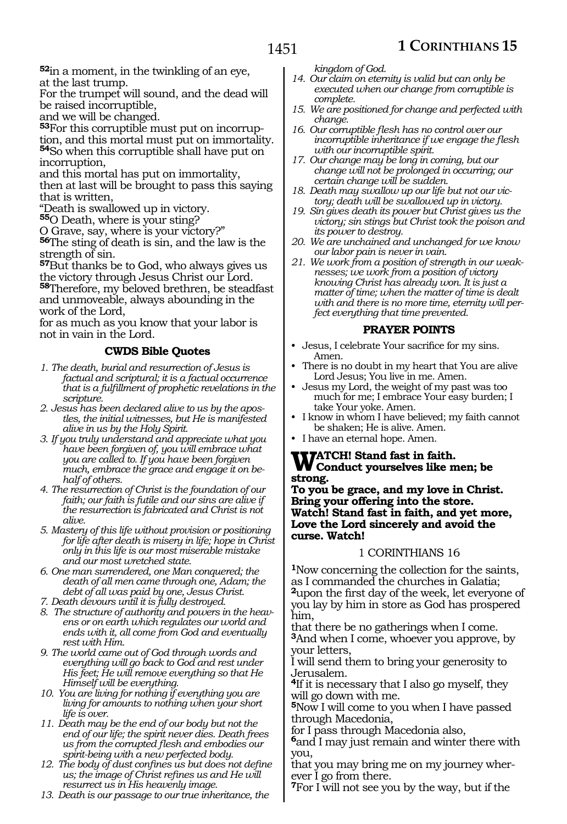**<sup>52</sup>**in a moment, in the twinkling of an eye, at the last trump.

For the trumpet will sound, and the dead will be raised incorruptible,

and we will be changed.

**53**For this corruptible must put on incorruption, and this mortal must put on immortality. **<sup>54</sup>**So when this corruptible shall have put on incorruption,

and this mortal has put on immortality, then at last will be brought to pass this saying that is written,

"Death is swallowed up in victory.

**<sup>55</sup>**O Death, where is your sting?

O Grave, say, where is your victory?"

**<sup>56</sup>**The sting of death is sin, and the law is the strength of sin.

**<sup>57</sup>**But thanks be to God, who always gives us the victory through Jesus Christ our Lord. **<sup>58</sup>**Therefore, my beloved brethren, be steadfast and unmoveable, always abounding in the work of the Lord,

for as much as you know that your labor is not in vain in the Lord.

#### **CWDS Bible Quotes**

- *1. The death, burial and resurrection of Jesus is factual and scriptural; it is a factual occurrence that is a fulfillment of prophetic revelations in the scripture.*
- *2. Jesus has been declared alive to us by the apostles, the initial witnesses, but He is manifested alive in us by the Holy Spirit.*
- *3. If you truly understand and appreciate what you have been forgiven of, you will embrace what you are called to. If you have been forgiven much, embrace the grace and engage it on behalf of others.*
- *4. The resurrection of Christ is the foundation of our faith; our faith is futile and our sins are alive if the resurrection is fabricated and Christ is not alive.*
- *5. Mastery of this life without provision or positioning for life after death is misery in life; hope in Christ only in this life is our most miserable mistake and our most wretched state.*
- *6. One man surrendered, one Man conquered; the death of all men came through one, Adam; the debt of all was paid by one, Jesus Christ.*
- *7. Death devours until it is fully destroyed.*
- *8. The structure of authority and powers in the heavens or on earth which regulates our world and ends with it, all come from God and eventually rest with Him.*
- *9. The world came out of God through words and everything will go back to God and rest under His feet; He will remove everything so that He Himself will be everything.*
- *10. You are living for nothing if everything you are living for amounts to nothing when your short life is over.*
- *11. Death may be the end of our body but not the end of our life; the spirit never dies. Death frees us from the corrupted flesh and embodies our spirit-being with a new perfected body.*
- *12. The body of dust confines us but does not define us; the image of Christ refines us and He will resurrect us in His heavenly image.*
- *13. Death is our passage to our true inheritance, the*

*kingdom of God.*

- *14. Our claim on eternity is valid but can only be executed when our change from corruptible is complete.*
- *15. We are positioned for change and perfected with change.*
- *16. Our corruptible flesh has no control over our incorruptible inheritance if we engage the flesh with our incorruptible spirit.*
- *17. Our change may be long in coming, but our change will not be prolonged in occurring; our certain change will be sudden.*
- *18. Death may swallow up our life but not our victory; death will be swallowed up in victory.*
- *19. Sin gives death its power but Christ gives us the victory; sin stings but Christ took the poison and its power to destroy.*
- *20. We are unchained and unchanged for we know our labor pain is never in vain.*
- *21. We work from a position of strength in our weaknesses; we work from a position of victory knowing Christ has already won. It is just a matter of time; when the matter of time is dealt with and there is no more time, eternity will perfect everything that time prevented.*

#### **PRAYER POINTS**

- Jesus, I celebrate Your sacrifice for my sins. Amen.
- There is no doubt in my heart that You are alive Lord Jesus; You live in me. Amen.
- Jesus my Lord, the weight of my past was too much for me; I embrace Your easy burden; I take Your yoke. Amen.
- I know in whom I have believed; my faith cannot be shaken; He is alive. Amen.
- I have an eternal hope. Amen.

# **WATCH!** Stand fast in faith.<br> **Conduct yourselves like men; be strong.**

**To you be grace, and my love in Christ. Bring your offering into the store. Watch! Stand fast in faith, and yet more, Love the Lord sincerely and avoid the curse. Watch!**

#### 1 CORINTHIANS 16

**<sup>1</sup>**Now concerning the collection for the saints, as I commanded the churches in Galatia; **<sup>2</sup>**upon the first day of the week, let everyone of you lay by him in store as God has prospered him,

that there be no gatherings when I come. **<sup>3</sup>**And when I come, whoever you approve, by your letters,

I will send them to bring your generosity to Jerusalem.

**<sup>4</sup>**If it is necessary that I also go myself, they will go down with me.

**<sup>5</sup>**Now I will come to you when I have passed through Macedonia,

for I pass through Macedonia also,

**<sup>6</sup>**and I may just remain and winter there with you,

that you may bring me on my journey wherever I go from there.

**<sup>7</sup>**For I will not see you by the way, but if the